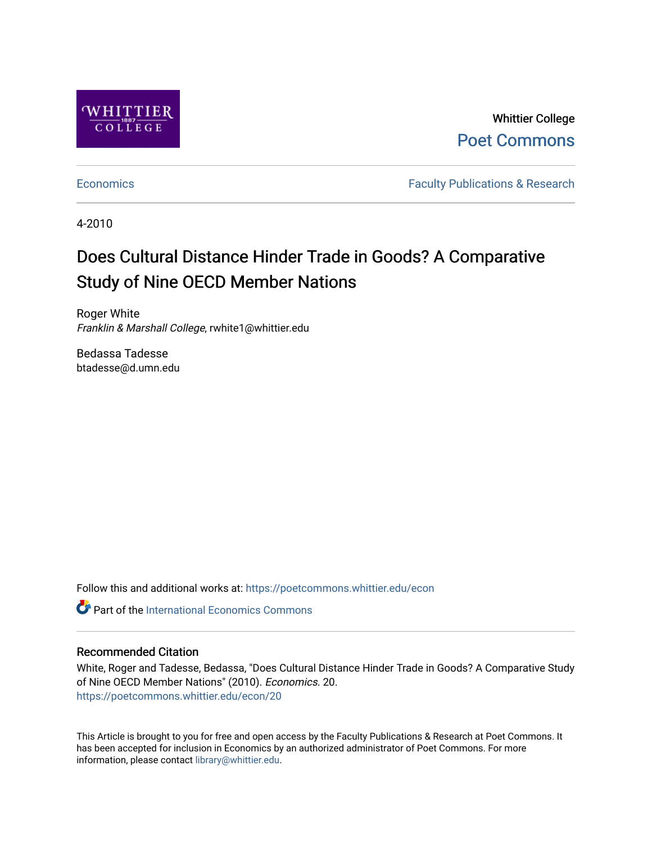

Whittier College [Poet Commons](https://poetcommons.whittier.edu/) 

[Economics](https://poetcommons.whittier.edu/econ) **Faculty Publications & Research** 

4-2010

# Does Cultural Distance Hinder Trade in Goods? A Comparative Study of Nine OECD Member Nations

Roger White Franklin & Marshall College, rwhite1@whittier.edu

Bedassa Tadesse btadesse@d.umn.edu

Follow this and additional works at: [https://poetcommons.whittier.edu/econ](https://poetcommons.whittier.edu/econ?utm_source=poetcommons.whittier.edu%2Fecon%2F20&utm_medium=PDF&utm_campaign=PDFCoverPages)

**C** Part of the International Economics Commons

# Recommended Citation

White, Roger and Tadesse, Bedassa, "Does Cultural Distance Hinder Trade in Goods? A Comparative Study of Nine OECD Member Nations" (2010). Economics. 20. [https://poetcommons.whittier.edu/econ/20](https://poetcommons.whittier.edu/econ/20?utm_source=poetcommons.whittier.edu%2Fecon%2F20&utm_medium=PDF&utm_campaign=PDFCoverPages) 

This Article is brought to you for free and open access by the Faculty Publications & Research at Poet Commons. It has been accepted for inclusion in Economics by an authorized administrator of Poet Commons. For more information, please contact [library@whittier.edu.](mailto:library@whittier.edu)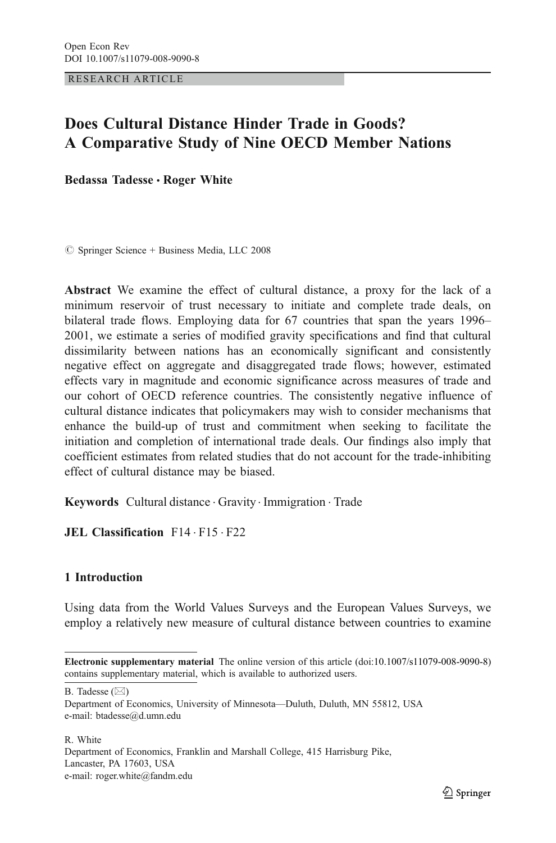RESEARCH ARTICLE

# Does Cultural Distance Hinder Trade in Goods? A Comparative Study of Nine OECD Member Nations

Bedassa Tadesse *&* Roger White

 $\oslash$  Springer Science + Business Media, LLC 2008

Abstract We examine the effect of cultural distance, a proxy for the lack of a minimum reservoir of trust necessary to initiate and complete trade deals, on bilateral trade flows. Employing data for 67 countries that span the years 1996– 2001, we estimate a series of modified gravity specifications and find that cultural dissimilarity between nations has an economically significant and consistently negative effect on aggregate and disaggregated trade flows; however, estimated effects vary in magnitude and economic significance across measures of trade and our cohort of OECD reference countries. The consistently negative influence of cultural distance indicates that policymakers may wish to consider mechanisms that enhance the build-up of trust and commitment when seeking to facilitate the initiation and completion of international trade deals. Our findings also imply that coefficient estimates from related studies that do not account for the trade-inhibiting effect of cultural distance may be biased.

Keywords Cultural distance . Gravity . Immigration . Trade

JEL Classification F14 . F15 . F22

# 1 Introduction

Using data from the World Values Surveys and the European Values Surveys, we employ a relatively new measure of cultural distance between countries to examine

B. Tadesse ( $\boxtimes$ )

R. White

Electronic supplementary material The online version of this article (doi:[10.1007/s11079-008-9090-8\)](http://dx.doi.org/10.1007/s11079-008-9090-8) contains supplementary material, which is available to authorized users.

Department of Economics, University of Minnesota—Duluth, Duluth, MN 55812, USA e-mail: btadesse@d.umn.edu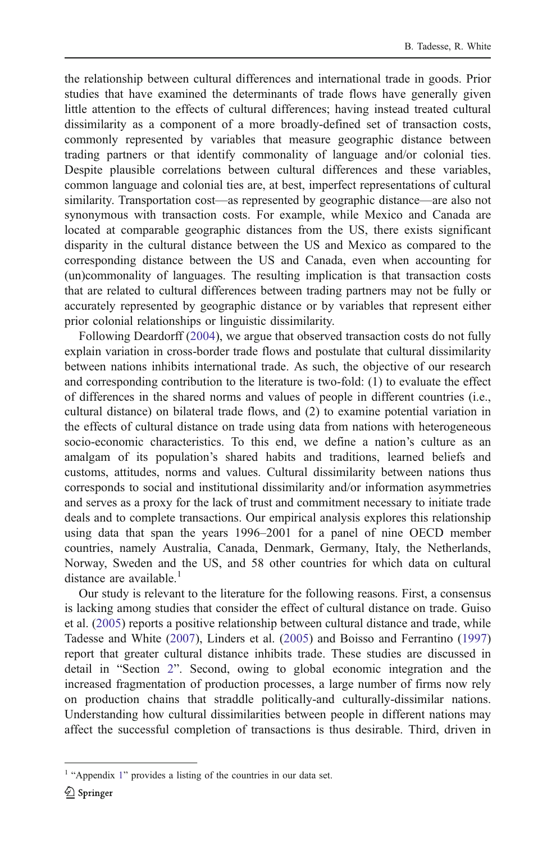the relationship between cultural differences and international trade in goods. Prior studies that have examined the determinants of trade flows have generally given little attention to the effects of cultural differences; having instead treated cultural dissimilarity as a component of a more broadly-defined set of transaction costs, commonly represented by variables that measure geographic distance between trading partners or that identify commonality of language and/or colonial ties. Despite plausible correlations between cultural differences and these variables, common language and colonial ties are, at best, imperfect representations of cultural similarity. Transportation cost—as represented by geographic distance—are also not synonymous with transaction costs. For example, while Mexico and Canada are located at comparable geographic distances from the US, there exists significant disparity in the cultural distance between the US and Mexico as compared to the corresponding distance between the US and Canada, even when accounting for (un)commonality of languages. The resulting implication is that transaction costs that are related to cultural differences between trading partners may not be fully or accurately represented by geographic distance or by variables that represent either prior colonial relationships or linguistic dissimilarity.

Following Deardorff [\(2004](#page-24-0)), we argue that observed transaction costs do not fully explain variation in cross-border trade flows and postulate that cultural dissimilarity between nations inhibits international trade. As such, the objective of our research and corresponding contribution to the literature is two-fold: (1) to evaluate the effect of differences in the shared norms and values of people in different countries (i.e., cultural distance) on bilateral trade flows, and (2) to examine potential variation in the effects of cultural distance on trade using data from nations with heterogeneous socio-economic characteristics. To this end, we define a nation's culture as an amalgam of its population's shared habits and traditions, learned beliefs and customs, attitudes, norms and values. Cultural dissimilarity between nations thus corresponds to social and institutional dissimilarity and/or information asymmetries and serves as a proxy for the lack of trust and commitment necessary to initiate trade deals and to complete transactions. Our empirical analysis explores this relationship using data that span the years 1996–2001 for a panel of nine OECD member countries, namely Australia, Canada, Denmark, Germany, Italy, the Netherlands, Norway, Sweden and the US, and 58 other countries for which data on cultural distance are available. $<sup>1</sup>$ </sup>

Our study is relevant to the literature for the following reasons. First, a consensus is lacking among studies that consider the effect of cultural distance on trade. Guiso et al. [\(2005\)](#page-24-0) reports a positive relationship between cultural distance and trade, while Tadesse and White [\(2007](#page-24-0)), Linders et al. [\(2005](#page-24-0)) and Boisso and Ferrantino [\(1997](#page-24-0)) report that greater cultural distance inhibits trade. These studies are discussed in detail in "Section [2](#page-3-0)". Second, owing to global economic integration and the increased fragmentation of production processes, a large number of firms now rely on production chains that straddle politically-and culturally-dissimilar nations. Understanding how cultural dissimilarities between people in different nations may affect the successful completion of transactions is thus desirable. Third, driven in

<sup>1</sup> "Appendix [1](#page-22-0)" provides a listing of the countries in our data set.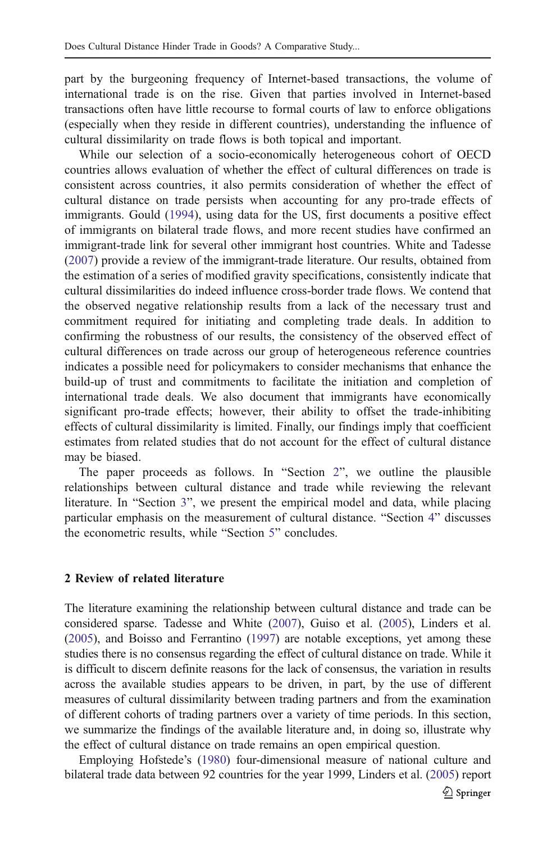<span id="page-3-0"></span>part by the burgeoning frequency of Internet-based transactions, the volume of international trade is on the rise. Given that parties involved in Internet-based transactions often have little recourse to formal courts of law to enforce obligations (especially when they reside in different countries), understanding the influence of cultural dissimilarity on trade flows is both topical and important.

While our selection of a socio-economically heterogeneous cohort of OECD countries allows evaluation of whether the effect of cultural differences on trade is consistent across countries, it also permits consideration of whether the effect of cultural distance on trade persists when accounting for any pro-trade effects of immigrants. Gould ([1994\)](#page-24-0), using data for the US, first documents a positive effect of immigrants on bilateral trade flows, and more recent studies have confirmed an immigrant-trade link for several other immigrant host countries. White and Tadesse [\(2007](#page-25-0)) provide a review of the immigrant-trade literature. Our results, obtained from the estimation of a series of modified gravity specifications, consistently indicate that cultural dissimilarities do indeed influence cross-border trade flows. We contend that the observed negative relationship results from a lack of the necessary trust and commitment required for initiating and completing trade deals. In addition to confirming the robustness of our results, the consistency of the observed effect of cultural differences on trade across our group of heterogeneous reference countries indicates a possible need for policymakers to consider mechanisms that enhance the build-up of trust and commitments to facilitate the initiation and completion of international trade deals. We also document that immigrants have economically significant pro-trade effects; however, their ability to offset the trade-inhibiting effects of cultural dissimilarity is limited. Finally, our findings imply that coefficient estimates from related studies that do not account for the effect of cultural distance may be biased.

The paper proceeds as follows. In "Section 2", we outline the plausible relationships between cultural distance and trade while reviewing the relevant literature. In "Section [3](#page-5-0)", we present the empirical model and data, while placing particular emphasis on the measurement of cultural distance. "Section [4](#page-10-0)" discusses the econometric results, while "Section [5](#page-21-0)" concludes.

#### 2 Review of related literature

The literature examining the relationship between cultural distance and trade can be considered sparse. Tadesse and White [\(2007\)](#page-24-0), Guiso et al. ([2005](#page-24-0)), Linders et al. [\(2005\)](#page-24-0), and Boisso and Ferrantino [\(1997\)](#page-24-0) are notable exceptions, yet among these studies there is no consensus regarding the effect of cultural distance on trade. While it is difficult to discern definite reasons for the lack of consensus, the variation in results across the available studies appears to be driven, in part, by the use of different measures of cultural dissimilarity between trading partners and from the examination of different cohorts of trading partners over a variety of time periods. In this section, we summarize the findings of the available literature and, in doing so, illustrate why the effect of cultural distance on trade remains an open empirical question.

Employing Hofstede's [\(1980\)](#page-24-0) four-dimensional measure of national culture and bilateral trade data between 92 countries for the year 1999, Linders et al. [\(2005\)](#page-24-0) report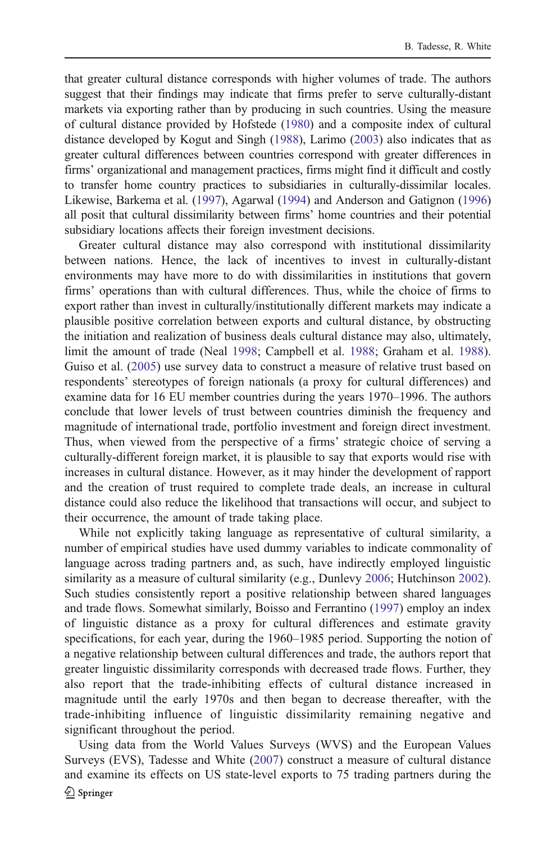that greater cultural distance corresponds with higher volumes of trade. The authors suggest that their findings may indicate that firms prefer to serve culturally-distant markets via exporting rather than by producing in such countries. Using the measure of cultural distance provided by Hofstede [\(1980\)](#page-24-0) and a composite index of cultural distance developed by Kogut and Singh ([1988](#page-24-0)), Larimo [\(2003\)](#page-24-0) also indicates that as greater cultural differences between countries correspond with greater differences in firms' organizational and management practices, firms might find it difficult and costly to transfer home country practices to subsidiaries in culturally-dissimilar locales. Likewise, Barkema et al. [\(1997\)](#page-24-0), Agarwal ([1994](#page-24-0)) and Anderson and Gatignon ([1996](#page-24-0)) all posit that cultural dissimilarity between firms' home countries and their potential subsidiary locations affects their foreign investment decisions.

Greater cultural distance may also correspond with institutional dissimilarity between nations. Hence, the lack of incentives to invest in culturally-distant environments may have more to do with dissimilarities in institutions that govern firms' operations than with cultural differences. Thus, while the choice of firms to export rather than invest in culturally/institutionally different markets may indicate a plausible positive correlation between exports and cultural distance, by obstructing the initiation and realization of business deals cultural distance may also, ultimately, limit the amount of trade (Neal [1998;](#page-24-0) Campbell et al. [1988](#page-24-0); Graham et al. [1988\)](#page-24-0). Guiso et al. ([2005\)](#page-24-0) use survey data to construct a measure of relative trust based on respondents' stereotypes of foreign nationals (a proxy for cultural differences) and examine data for 16 EU member countries during the years 1970–1996. The authors conclude that lower levels of trust between countries diminish the frequency and magnitude of international trade, portfolio investment and foreign direct investment. Thus, when viewed from the perspective of a firms' strategic choice of serving a culturally-different foreign market, it is plausible to say that exports would rise with increases in cultural distance. However, as it may hinder the development of rapport and the creation of trust required to complete trade deals, an increase in cultural distance could also reduce the likelihood that transactions will occur, and subject to their occurrence, the amount of trade taking place.

While not explicitly taking language as representative of cultural similarity, a number of empirical studies have used dummy variables to indicate commonality of language across trading partners and, as such, have indirectly employed linguistic similarity as a measure of cultural similarity (e.g., Dunlevy [2006;](#page-24-0) Hutchinson [2002\)](#page-24-0). Such studies consistently report a positive relationship between shared languages and trade flows. Somewhat similarly, Boisso and Ferrantino ([1997\)](#page-24-0) employ an index of linguistic distance as a proxy for cultural differences and estimate gravity specifications, for each year, during the 1960–1985 period. Supporting the notion of a negative relationship between cultural differences and trade, the authors report that greater linguistic dissimilarity corresponds with decreased trade flows. Further, they also report that the trade-inhibiting effects of cultural distance increased in magnitude until the early 1970s and then began to decrease thereafter, with the trade-inhibiting influence of linguistic dissimilarity remaining negative and significant throughout the period.

Using data from the World Values Surveys (WVS) and the European Values Surveys (EVS), Tadesse and White ([2007\)](#page-24-0) construct a measure of cultural distance and examine its effects on US state-level exports to 75 trading partners during the 2 Springer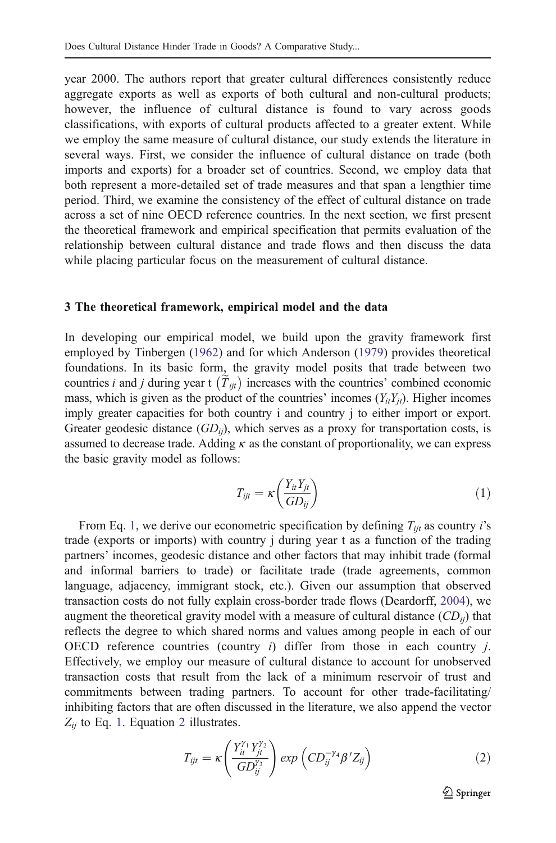<span id="page-5-0"></span>year 2000. The authors report that greater cultural differences consistently reduce aggregate exports as well as exports of both cultural and non-cultural products; however, the influence of cultural distance is found to vary across goods classifications, with exports of cultural products affected to a greater extent. While we employ the same measure of cultural distance, our study extends the literature in several ways. First, we consider the influence of cultural distance on trade (both imports and exports) for a broader set of countries. Second, we employ data that both represent a more-detailed set of trade measures and that span a lengthier time period. Third, we examine the consistency of the effect of cultural distance on trade across a set of nine OECD reference countries. In the next section, we first present the theoretical framework and empirical specification that permits evaluation of the relationship between cultural distance and trade flows and then discuss the data while placing particular focus on the measurement of cultural distance.

#### 3 The theoretical framework, empirical model and the data

In developing our empirical model, we build upon the gravity framework first employed by Tinbergen ([1962\)](#page-25-0) and for which Anderson [\(1979](#page-24-0)) provides theoretical foundations. In its basic form, the gravity model posits that trade between two countries *i* and *j* during year t  $(\tilde{T}_{ijt})$  increases with the countries' combined economic mass, which is given as the product of the countries' incomes  $(Y_{it}Y_{it})$ . Higher incomes imply greater capacities for both country i and country j to either import or export. Greater geodesic distance  $(GD_{ii})$ , which serves as a proxy for transportation costs, is assumed to decrease trade. Adding  $\kappa$  as the constant of proportionality, we can express the basic gravity model as follows:

$$
T_{ijt} = \kappa \left( \frac{Y_{it} Y_{jt}}{GD_{ij}} \right) \tag{1}
$$

From Eq. 1, we derive our econometric specification by defining  $T_{ijt}$  as country *i*'s trade (exports or imports) with country j during year t as a function of the trading partners' incomes, geodesic distance and other factors that may inhibit trade (formal and informal barriers to trade) or facilitate trade (trade agreements, common language, adjacency, immigrant stock, etc.). Given our assumption that observed transaction costs do not fully explain cross-border trade flows (Deardorff, [2004](#page-24-0)), we augment the theoretical gravity model with a measure of cultural distance  $(CD_{ii})$  that reflects the degree to which shared norms and values among people in each of our OECD reference countries (country  $i$ ) differ from those in each country  $j$ . Effectively, we employ our measure of cultural distance to account for unobserved transaction costs that result from the lack of a minimum reservoir of trust and commitments between trading partners. To account for other trade-facilitating/ inhibiting factors that are often discussed in the literature, we also append the vector  $Z_{ii}$  to Eq. 1. Equation 2 illustrates.

$$
T_{ijt} = \kappa \left( \frac{Y_{it}^{\gamma_1} Y_{jt}^{\gamma_2}}{GD_{ij}^{\gamma_3}} \right) exp \left( CD_{ij}^{-\gamma_4} \beta' Z_{ij} \right)
$$
 (2)

 $\bigcirc$  Springer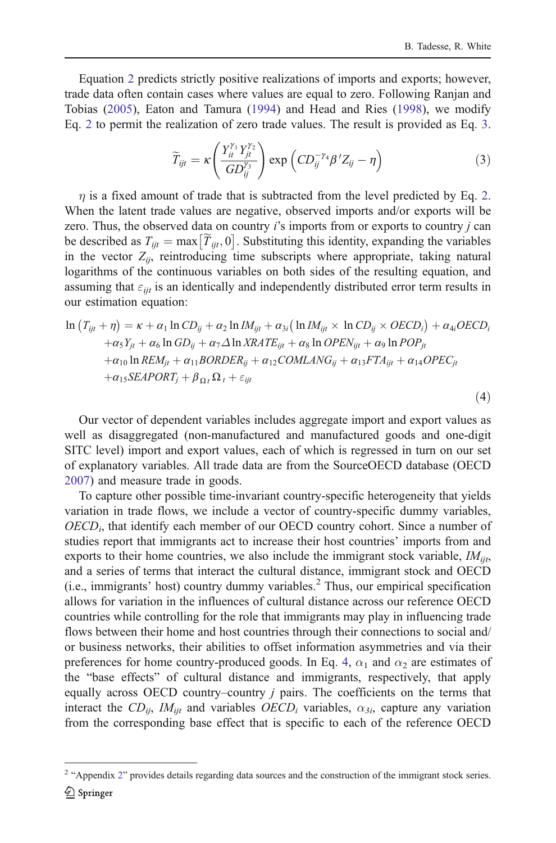$(4)$ 

<span id="page-6-0"></span>Equation [2](#page-5-0) predicts strictly positive realizations of imports and exports; however, trade data often contain cases where values are equal to zero. Following Ranjan and Tobias ([2005\)](#page-24-0), Eaton and Tamura ([1994\)](#page-24-0) and Head and Ries ([1998\)](#page-24-0), we modify Eq. [2](#page-5-0) to permit the realization of zero trade values. The result is provided as Eq. 3.

$$
\widetilde{T}_{ijt} = \kappa \left( \frac{Y_{it}^{\gamma_1} Y_{jt}^{\gamma_2}}{GD_{ij}^{\gamma_3}} \right) \exp \left( CD_{ij}^{-\gamma_4} \beta' Z_{ij} - \eta \right)
$$
\n(3)

 $\eta$  is a fixed amount of trade that is subtracted from the level predicted by Eq. [2.](#page-5-0) When the latent trade values are negative, observed imports and/or exports will be zero. Thus, the observed data on country  $i$ 's imports from or exports to country  $j$  can be described as  $T_{ijt} = \max[\tilde{T}_{ijt}, 0]$ . Substituting this identity, expanding the variables in the vector  $Z_{ii}$ , reintroducing time subscripts where appropriate, taking natural logarithms of the continuous variables on both sides of the resulting equation, and assuming that  $\varepsilon_{iit}$  is an identically and independently distributed error term results in our estimation equation:

$$
\ln (T_{ijt} + \eta) = \kappa + \alpha_1 \ln CD_{ij} + \alpha_2 \ln IM_{ijt} + \alpha_{3i} (\ln IM_{ijt} \times \ln CD_{ij} \times OECD_i) + \alpha_{4i} OECD_i
$$
  
+  $\alpha_5 Y_{jt} + \alpha_6 \ln GD_{ij} + \alpha_7 \Delta \ln XRATE_{ijt} + \alpha_8 \ln OPEN_{ijt} + \alpha_9 \ln POP_{jt}$   
+  $\alpha_{10} \ln REM_{jt} + \alpha_{11} BORDER_{ij} + \alpha_{12} COMLANG_{ij} + \alpha_{13} ETA_{ijt} + \alpha_{14} OPEC_{jt}$   
+  $\alpha_{15} SEAPORT_j + \beta_{\Omega t} \Omega_t + \epsilon_{ijt}$ 

Our vector of dependent variables includes aggregate import and export values as well as disaggregated (non-manufactured and manufactured goods and one-digit SITC level) import and export values, each of which is regressed in turn on our set of explanatory variables. All trade data are from the SourceOECD database (OECD [2007\)](#page-24-0) and measure trade in goods.

To capture other possible time-invariant country-specific heterogeneity that yields variation in trade flows, we include a vector of country-specific dummy variables,  $OECD$ <sub>i</sub>, that identify each member of our OECD country cohort. Since a number of studies report that immigrants act to increase their host countries' imports from and exports to their home countries, we also include the immigrant stock variable,  $IM_{ii}$ , and a series of terms that interact the cultural distance, immigrant stock and OECD  $(i.e.,\text{immigrams' host})$  country dummy variables.<sup>2</sup> Thus, our empirical specification allows for variation in the influences of cultural distance across our reference OECD countries while controlling for the role that immigrants may play in influencing trade flows between their home and host countries through their connections to social and/ or business networks, their abilities to offset information asymmetries and via their preferences for home country-produced goods. In Eq. 4,  $\alpha_1$  and  $\alpha_2$  are estimates of the "base effects" of cultural distance and immigrants, respectively, that apply equally across OECD country–country  $j$  pairs. The coefficients on the terms that interact the  $CD_{ii}$ ,  $IM_{ii}$  and variables  $OECD_i$  variables,  $\alpha_{3i}$ , capture any variation from the corresponding base effect that is specific to each of the reference OECD

<sup>&</sup>lt;sup>[2](#page-22-0)</sup> "Appendix 2" provides details regarding data sources and the construction of the immigrant stock series.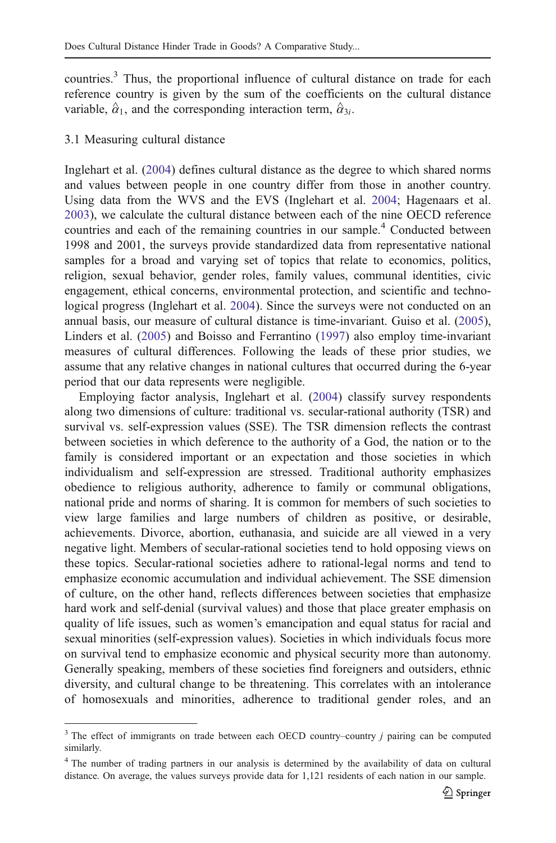countries.<sup>3</sup> Thus, the proportional influence of cultural distance on trade for each reference country is given by the sum of the coefficients on the cultural distance variable,  $\hat{\alpha}_1$ , and the corresponding interaction term,  $\hat{\alpha}_3$ .

#### 3.1 Measuring cultural distance

Inglehart et al. [\(2004](#page-24-0)) defines cultural distance as the degree to which shared norms and values between people in one country differ from those in another country. Using data from the WVS and the EVS (Inglehart et al. [2004;](#page-24-0) Hagenaars et al. [2003\)](#page-24-0), we calculate the cultural distance between each of the nine OECD reference countries and each of the remaining countries in our sample.<sup>4</sup> Conducted between 1998 and 2001, the surveys provide standardized data from representative national samples for a broad and varying set of topics that relate to economics, politics, religion, sexual behavior, gender roles, family values, communal identities, civic engagement, ethical concerns, environmental protection, and scientific and technological progress (Inglehart et al. [2004\)](#page-24-0). Since the surveys were not conducted on an annual basis, our measure of cultural distance is time-invariant. Guiso et al. ([2005\)](#page-24-0), Linders et al. ([2005\)](#page-24-0) and Boisso and Ferrantino ([1997\)](#page-24-0) also employ time-invariant measures of cultural differences. Following the leads of these prior studies, we assume that any relative changes in national cultures that occurred during the 6-year period that our data represents were negligible.

Employing factor analysis, Inglehart et al. [\(2004](#page-24-0)) classify survey respondents along two dimensions of culture: traditional vs. secular-rational authority (TSR) and survival vs. self-expression values (SSE). The TSR dimension reflects the contrast between societies in which deference to the authority of a God, the nation or to the family is considered important or an expectation and those societies in which individualism and self-expression are stressed. Traditional authority emphasizes obedience to religious authority, adherence to family or communal obligations, national pride and norms of sharing. It is common for members of such societies to view large families and large numbers of children as positive, or desirable, achievements. Divorce, abortion, euthanasia, and suicide are all viewed in a very negative light. Members of secular-rational societies tend to hold opposing views on these topics. Secular-rational societies adhere to rational-legal norms and tend to emphasize economic accumulation and individual achievement. The SSE dimension of culture, on the other hand, reflects differences between societies that emphasize hard work and self-denial (survival values) and those that place greater emphasis on quality of life issues, such as women's emancipation and equal status for racial and sexual minorities (self-expression values). Societies in which individuals focus more on survival tend to emphasize economic and physical security more than autonomy. Generally speaking, members of these societies find foreigners and outsiders, ethnic diversity, and cultural change to be threatening. This correlates with an intolerance of homosexuals and minorities, adherence to traditional gender roles, and an

 $3$  The effect of immigrants on trade between each OECD country-country  $j$  pairing can be computed similarly.

<sup>&</sup>lt;sup>4</sup> The number of trading partners in our analysis is determined by the availability of data on cultural distance. On average, the values surveys provide data for 1,121 residents of each nation in our sample.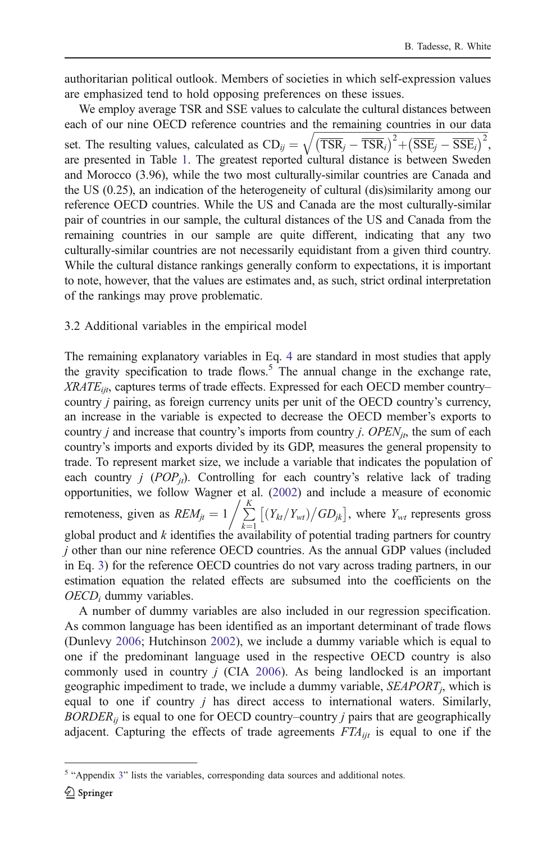authoritarian political outlook. Members of societies in which self-expression values are emphasized tend to hold opposing preferences on these issues.

We employ average TSR and SSE values to calculate the cultural distances between each of our nine OECD reference countries and the remaining countries in our data set. The resulting values, calculated as  $CD_{ij} = \sqrt{(\overline{TSR}_j - \overline{TSR}_i)^2 + (\overline{SSE}_j - \overline{SSE}_i)^2}$ , are presented in Table [1](#page-9-0). The greatest reported cultural distance is between Sweden and Morocco (3.96), while the two most culturally-similar countries are Canada and the US (0.25), an indication of the heterogeneity of cultural (dis)similarity among our reference OECD countries. While the US and Canada are the most culturally-similar pair of countries in our sample, the cultural distances of the US and Canada from the remaining countries in our sample are quite different, indicating that any two culturally-similar countries are not necessarily equidistant from a given third country. While the cultural distance rankings generally conform to expectations, it is important to note, however, that the values are estimates and, as such, strict ordinal interpretation of the rankings may prove problematic.

### 3.2 Additional variables in the empirical model

The remaining explanatory variables in Eq. [4](#page-6-0) are standard in most studies that apply the gravity specification to trade flows.<sup>5</sup> The annual change in the exchange rate,  $XRATE_{iit}$ , captures terms of trade effects. Expressed for each OECD member country– country j pairing, as foreign currency units per unit of the OECD country's currency, an increase in the variable is expected to decrease the OECD member's exports to country *j* and increase that country's imports from country *j. OPEN<sub>it</sub>*, the sum of each country's imports and exports divided by its GDP, measures the general propensity to trade. To represent market size, we include a variable that indicates the population of each country *j* (*POP<sub>it</sub>*). Controlling for each country's relative lack of trading opportunities, we follow Wagner et al. ([2002](#page-25-0)) and include a measure of economic remoteness, given as  $REM_{jt} = 1 / \sum_{i=1}^{K}$  $\sum_{k=1}^{N} \left[ \left( Y_{kt} / Y_{wt} \right) / GD_{jk} \right]$ , where  $Y_{wt}$  represents gross global product and  $k$  identifies the availability of potential trading partners for country j other than our nine reference OECD countries. As the annual GDP values (included in Eq. [3](#page-6-0)) for the reference OECD countries do not vary across trading partners, in our estimation equation the related effects are subsumed into the coefficients on the  $OECD_i$  dummy variables.

A number of dummy variables are also included in our regression specification. As common language has been identified as an important determinant of trade flows (Dunlevy [2006;](#page-24-0) Hutchinson [2002\)](#page-24-0), we include a dummy variable which is equal to one if the predominant language used in the respective OECD country is also commonly used in country  $j$  (CIA [2006](#page-25-0)). As being landlocked is an important geographic impediment to trade, we include a dummy variable,  $SEAPORT<sub>i</sub>$ , which is equal to one if country  $j$  has direct access to international waters. Similarly, BORDER<sub>ij</sub> is equal to one for OECD country–country *j* pairs that are geographically adjacent. Capturing the effects of trade agreements  $FTA_{\text{int}}$  is equal to one if the

<sup>&</sup>lt;sup>5</sup> "Appendix [3](#page-23-0)" lists the variables, corresponding data sources and additional notes.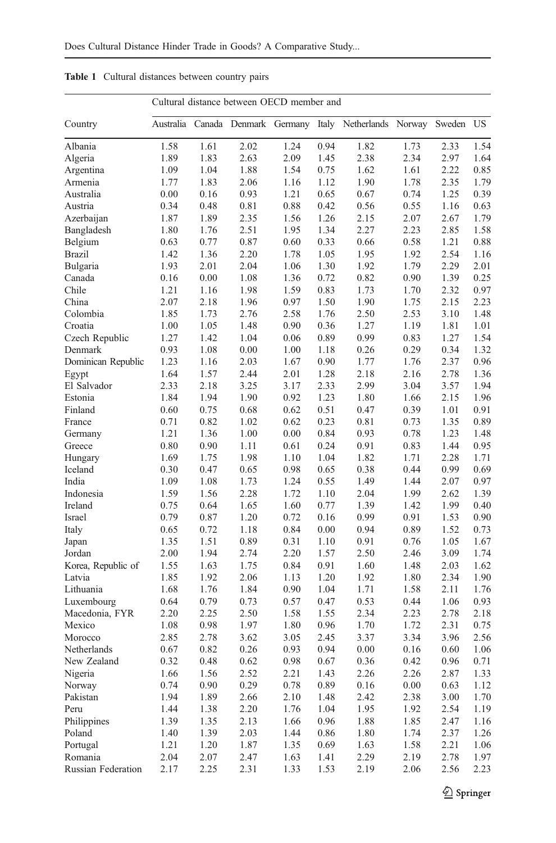|                    |      |      | Cultural distance between OECD member and |      |          |                                                           |      |        |      |
|--------------------|------|------|-------------------------------------------|------|----------|-----------------------------------------------------------|------|--------|------|
| Country            |      |      |                                           |      |          | Australia Canada Denmark Germany Italy Netherlands Norway |      | Sweden | US.  |
| Albania            | 1.58 | 1.61 | 2.02                                      | 1.24 | 0.94     | 1.82                                                      | 1.73 | 2.33   | 1.54 |
| Algeria            | 1.89 | 1.83 | 2.63                                      | 2.09 | 1.45     | 2.38                                                      | 2.34 | 2.97   | 1.64 |
| Argentina          | 1.09 | 1.04 | 1.88                                      | 1.54 | 0.75     | 1.62                                                      | 1.61 | 2.22   | 0.85 |
| Armenia            | 1.77 | 1.83 | 2.06                                      | 1.16 | 1.12     | 1.90                                                      | 1.78 | 2.35   | 1.79 |
| Australia          | 0.00 | 0.16 | 0.93                                      | 1.21 | 0.65     | 0.67                                                      | 0.74 | 1.25   | 0.39 |
| Austria            | 0.34 | 0.48 | 0.81                                      | 0.88 | 0.42     | 0.56                                                      | 0.55 | 1.16   | 0.63 |
| Azerbaijan         | 1.87 | 1.89 | 2.35                                      | 1.56 | 1.26     | 2.15                                                      | 2.07 | 2.67   | 1.79 |
| Bangladesh         | 1.80 | 1.76 | 2.51                                      | 1.95 | 1.34     | 2.27                                                      | 2.23 | 2.85   | 1.58 |
| Belgium            | 0.63 | 0.77 | 0.87                                      | 0.60 | 0.33     | 0.66                                                      | 0.58 | 1.21   | 0.88 |
| <b>Brazil</b>      | 1.42 | 1.36 | 2.20                                      | 1.78 | 1.05     | 1.95                                                      | 1.92 | 2.54   | 1.16 |
| Bulgaria           | 1.93 | 2.01 | 2.04                                      | 1.06 | 1.30     | 1.92                                                      | 1.79 | 2.29   | 2.01 |
| Canada             | 0.16 | 0.00 | 1.08                                      | 1.36 | 0.72     | 0.82                                                      | 0.90 | 1.39   | 0.25 |
| Chile              | 1.21 | 1.16 | 1.98                                      | 1.59 | 0.83     | 1.73                                                      | 1.70 | 2.32   | 0.97 |
| China              | 2.07 | 2.18 | 1.96                                      | 0.97 | 1.50     | 1.90                                                      | 1.75 | 2.15   | 2.23 |
| Colombia           | 1.85 | 1.73 | 2.76                                      | 2.58 | 1.76     | 2.50                                                      | 2.53 | 3.10   | 1.48 |
| Croatia            | 1.00 | 1.05 | 1.48                                      | 0.90 | 0.36     | 1.27                                                      | 1.19 | 1.81   | 1.01 |
| Czech Republic     | 1.27 | 1.42 | 1.04                                      | 0.06 | 0.89     | 0.99                                                      | 0.83 | 1.27   | 1.54 |
| Denmark            | 0.93 | 1.08 | 0.00                                      | 1.00 | 1.18     | 0.26                                                      | 0.29 | 0.34   | 1.32 |
| Dominican Republic | 1.23 | 1.16 | 2.03                                      | 1.67 | 0.90     | 1.77                                                      | 1.76 | 2.37   | 0.96 |
| Egypt              | 1.64 | 1.57 | 2.44                                      | 2.01 | 1.28     | 2.18                                                      | 2.16 | 2.78   | 1.36 |
| El Salvador        | 2.33 | 2.18 | 3.25                                      | 3.17 | 2.33     | 2.99                                                      | 3.04 | 3.57   | 1.94 |
| Estonia            | 1.84 | 1.94 | 1.90                                      | 0.92 | 1.23     | 1.80                                                      | 1.66 | 2.15   | 1.96 |
| Finland            | 0.60 | 0.75 | 0.68                                      | 0.62 | 0.51     | 0.47                                                      | 0.39 | 1.01   | 0.91 |
| France             | 0.71 | 0.82 | 1.02                                      | 0.62 | 0.23     | 0.81                                                      | 0.73 | 1.35   | 0.89 |
| Germany            | 1.21 | 1.36 | 1.00                                      | 0.00 | 0.84     | 0.93                                                      | 0.78 | 1.23   | 1.48 |
| Greece             | 0.80 | 0.90 | 1.11                                      | 0.61 | 0.24     | 0.91                                                      | 0.83 | 1.44   | 0.95 |
| Hungary            | 1.69 | 1.75 | 1.98                                      | 1.10 | 1.04     | 1.82                                                      | 1.71 | 2.28   | 1.71 |
| Iceland            | 0.30 | 0.47 | 0.65                                      | 0.98 | 0.65     | 0.38                                                      | 0.44 | 0.99   | 0.69 |
| India              | 1.09 | 1.08 | 1.73                                      | 1.24 | 0.55     | 1.49                                                      | 1.44 | 2.07   | 0.97 |
| Indonesia          | 1.59 | 1.56 | 2.28                                      | 1.72 | 1.10     | 2.04                                                      | 1.99 | 2.62   | 1.39 |
| Ireland            | 0.75 | 0.64 | 1.65                                      | 1.60 | 0.77     | 1.39                                                      | 1.42 | 1.99   | 0.40 |
| Israel             | 0.79 | 0.87 | 1.20                                      | 0.72 | 0.16     | 0.99                                                      | 0.91 | 1.53   | 0.90 |
| Italy              | 0.65 | 0.72 | 1.18                                      | 0.84 | 0.00     | 0.94                                                      | 0.89 | 1.52   | 0.73 |
| Japan              | 1.35 | 1.51 | 0.89                                      | 0.31 | 1.10     | 0.91                                                      | 0.76 | 1.05   | 1.67 |
| Jordan             | 2.00 | 1.94 | 2.74                                      | 2.20 | 1.57     | 2.50                                                      | 2.46 | 3.09   | 1.74 |
| Korea, Republic of | 1.55 | 1.63 | 1.75                                      | 0.84 | 0.91     | 1.60                                                      | 1.48 | 2.03   | 1.62 |
| Latvia             | 1.85 | 1.92 | 2.06                                      | 1.13 | 1.20     | 1.92                                                      | 1.80 | 2.34   | 1.90 |
| Lithuania          | 1.68 | 1.76 | 1.84                                      | 0.90 | 1.04     | 1.71                                                      | 1.58 | 2.11   | 1.76 |
| Luxembourg         | 0.64 | 0.79 | 0.73                                      | 0.57 | 0.47     | 0.53                                                      | 0.44 | 1.06   | 0.93 |
| Macedonia, FYR     | 2.20 | 2.25 | 2.50                                      | 1.58 | 1.55     | 2.34                                                      | 2.23 | 2.78   | 2.18 |
| Mexico             | 1.08 | 0.98 | 1.97                                      | 1.80 | 0.96     | 1.70                                                      | 1.72 | 2.31   | 0.75 |
| Morocco            | 2.85 | 2.78 | 3.62                                      | 3.05 | 2.45     | 3.37                                                      | 3.34 | 3.96   | 2.56 |
| Netherlands        | 0.67 | 0.82 | 0.26                                      | 0.93 | 0.94     | 0.00                                                      | 0.16 | 0.60   | 1.06 |
| New Zealand        | 0.32 | 0.48 | 0.62                                      | 0.98 | $0.67\,$ | 0.36                                                      | 0.42 | 0.96   | 0.71 |
| Nigeria            | 1.66 | 1.56 | 2.52                                      | 2.21 | 1.43     | 2.26                                                      | 2.26 | 2.87   | 1.33 |
| Norway             | 0.74 | 0.90 | 0.29                                      | 0.78 | 0.89     | 0.16                                                      | 0.00 | 0.63   | 1.12 |
| Pakistan           | 1.94 | 1.89 | 2.66                                      | 2.10 | 1.48     | 2.42                                                      | 2.38 | 3.00   | 1.70 |
| Peru               | 1.44 | 1.38 | 2.20                                      | 1.76 | 1.04     | 1.95                                                      | 1.92 | 2.54   | 1.19 |
| Philippines        | 1.39 | 1.35 | 2.13                                      | 1.66 | 0.96     | 1.88                                                      | 1.85 | 2.47   | 1.16 |
| Poland             | 1.40 | 1.39 | 2.03                                      | 1.44 | 0.86     | 1.80                                                      | 1.74 | 2.37   | 1.26 |
| Portugal           | 1.21 | 1.20 | 1.87                                      | 1.35 | 0.69     | 1.63                                                      | 1.58 | 2.21   | 1.06 |
| Romania            | 2.04 | 2.07 | 2.47                                      | 1.63 | 1.41     | 2.29                                                      | 2.19 | 2.78   | 1.97 |
| Russian Federation | 2.17 | 2.25 | 2.31                                      | 1.33 | 1.53     | 2.19                                                      | 2.06 | 2.56   | 2.23 |

<span id="page-9-0"></span>Table 1 Cultural distances between country pairs

 $\underline{\textcircled{\tiny 2}}$  Springer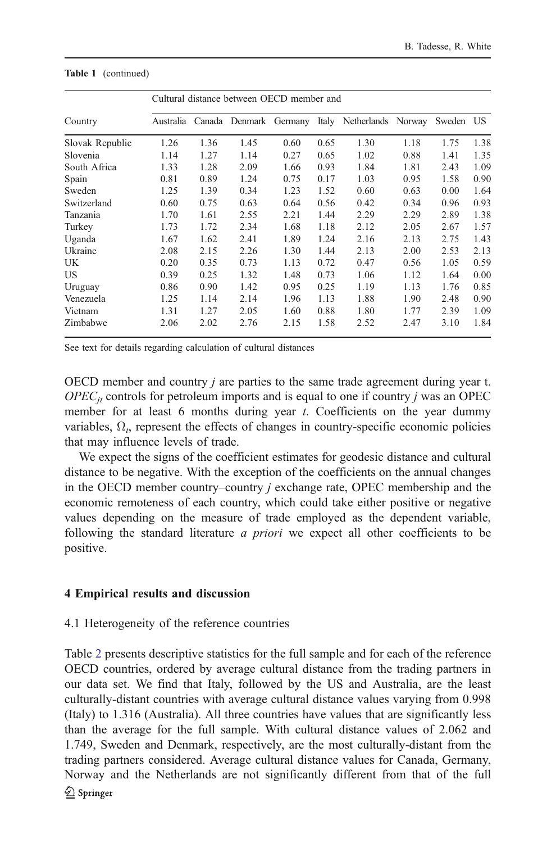|                 |           |      | Cultural distance between OECD member and |      |      |                                                 |      |           |      |
|-----------------|-----------|------|-------------------------------------------|------|------|-------------------------------------------------|------|-----------|------|
| Country         | Australia |      |                                           |      |      | Canada Denmark Germany Italy Netherlands Norway |      | Sweden US |      |
| Slovak Republic | 1.26      | 1.36 | 1.45                                      | 0.60 | 0.65 | 1.30                                            | 1.18 | 1.75      | 1.38 |
| Slovenia        | 1.14      | 1.27 | 1.14                                      | 0.27 | 0.65 | 1.02                                            | 0.88 | 1.41      | 1.35 |
| South Africa    | 1.33      | 1.28 | 2.09                                      | 1.66 | 0.93 | 1.84                                            | 1.81 | 2.43      | 1.09 |
| Spain           | 0.81      | 0.89 | 1.24                                      | 0.75 | 0.17 | 1.03                                            | 0.95 | 1.58      | 0.90 |
| Sweden          | 1.25      | 1.39 | 0.34                                      | 1.23 | 1.52 | 0.60                                            | 0.63 | 0.00      | 1.64 |
| Switzerland     | 0.60      | 0.75 | 0.63                                      | 0.64 | 0.56 | 0.42                                            | 0.34 | 0.96      | 0.93 |
| Tanzania        | 1.70      | 1.61 | 2.55                                      | 2.21 | 1.44 | 2.29                                            | 2.29 | 2.89      | 1.38 |
| Turkey          | 1.73      | 1.72 | 2.34                                      | 1.68 | 1.18 | 2.12                                            | 2.05 | 2.67      | 1.57 |
| Uganda          | 1.67      | 1.62 | 2.41                                      | 1.89 | 1.24 | 2.16                                            | 2.13 | 2.75      | 1.43 |
| Ukraine         | 2.08      | 2.15 | 2.26                                      | 1.30 | 1.44 | 2.13                                            | 2.00 | 2.53      | 2.13 |
| UK              | 0.20      | 0.35 | 0.73                                      | 1.13 | 0.72 | 0.47                                            | 0.56 | 1.05      | 0.59 |
| US              | 0.39      | 0.25 | 1.32                                      | 1.48 | 0.73 | 1.06                                            | 1.12 | 1.64      | 0.00 |
| Uruguay         | 0.86      | 0.90 | 1.42                                      | 0.95 | 0.25 | 1.19                                            | 1.13 | 1.76      | 0.85 |
| Venezuela       | 1.25      | 1.14 | 2.14                                      | 1.96 | 1.13 | 1.88                                            | 1.90 | 2.48      | 0.90 |
| Vietnam         | 1.31      | 1.27 | 2.05                                      | 1.60 | 0.88 | 1.80                                            | 1.77 | 2.39      | 1.09 |
| Zimbabwe        | 2.06      | 2.02 | 2.76                                      | 2.15 | 1.58 | 2.52                                            | 2.47 | 3.10      | 1.84 |

#### <span id="page-10-0"></span>Table 1 (continued)

See text for details regarding calculation of cultural distances

OECD member and country j are parties to the same trade agreement during year t.  $OPEC_{it}$  controls for petroleum imports and is equal to one if country j was an OPEC member for at least  $6$  months during year  $t$ . Coefficients on the year dummy variables,  $\Omega_t$ , represent the effects of changes in country-specific economic policies that may influence levels of trade.

We expect the signs of the coefficient estimates for geodesic distance and cultural distance to be negative. With the exception of the coefficients on the annual changes in the OECD member country–country j exchange rate, OPEC membership and the economic remoteness of each country, which could take either positive or negative values depending on the measure of trade employed as the dependent variable, following the standard literature a priori we expect all other coefficients to be positive.

#### 4 Empirical results and discussion

#### 4.1 Heterogeneity of the reference countries

Table [2](#page-11-0) presents descriptive statistics for the full sample and for each of the reference OECD countries, ordered by average cultural distance from the trading partners in our data set. We find that Italy, followed by the US and Australia, are the least culturally-distant countries with average cultural distance values varying from 0.998 (Italy) to 1.316 (Australia). All three countries have values that are significantly less than the average for the full sample. With cultural distance values of 2.062 and 1.749, Sweden and Denmark, respectively, are the most culturally-distant from the trading partners considered. Average cultural distance values for Canada, Germany, Norway and the Netherlands are not significantly different from that of the full 2 Springer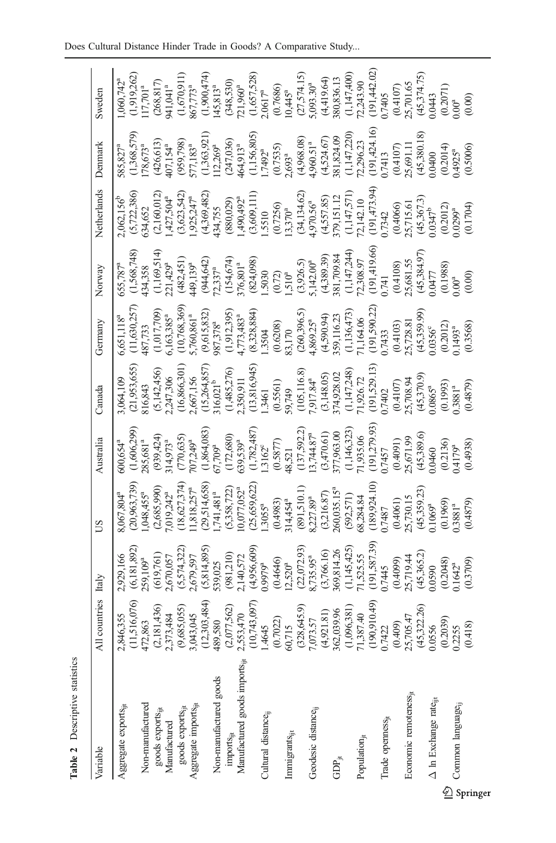<span id="page-11-0"></span>

| Variable                                   | All countries | Italy                                                                                                                                                                                                                                                                               | SU                                                                                                                                                                              | Australia                                                                                                                                                                                                      | Canada                                                                                                                                                                                                                                                         | jermany                                                                                                                                                                                                                                                                                                                                                                | Vorway                                                                                                                                                                                                   | Netherlands                                                                                                                                                                                                                                                             | <b>Denmark</b>                                                                                                                                                                                                                                                   | sweden                                                                                                                                                                                          |
|--------------------------------------------|---------------|-------------------------------------------------------------------------------------------------------------------------------------------------------------------------------------------------------------------------------------------------------------------------------------|---------------------------------------------------------------------------------------------------------------------------------------------------------------------------------|----------------------------------------------------------------------------------------------------------------------------------------------------------------------------------------------------------------|----------------------------------------------------------------------------------------------------------------------------------------------------------------------------------------------------------------------------------------------------------------|------------------------------------------------------------------------------------------------------------------------------------------------------------------------------------------------------------------------------------------------------------------------------------------------------------------------------------------------------------------------|----------------------------------------------------------------------------------------------------------------------------------------------------------------------------------------------------------|-------------------------------------------------------------------------------------------------------------------------------------------------------------------------------------------------------------------------------------------------------------------------|------------------------------------------------------------------------------------------------------------------------------------------------------------------------------------------------------------------------------------------------------------------|-------------------------------------------------------------------------------------------------------------------------------------------------------------------------------------------------|
| Aggregate exports <sub>it</sub>            |               | $\begin{array}{l} 22929,166\\ (6,181,892)\\ (6,181,892)\\ (7,574,322)\\ (7,574,322)\\ (8,814,895)\\ (9,814,895)\\ (19,761)\\ (19,761)\\ (19,772)\\ (19,72)\\ (19,72)\\ (19,72)\\ (19,72)\\ (19,72)\\ (19,72)\\ (19,73)\\ (11,72)\\ (11,72)\\ (11,72)\\ (11,72)\\ (11,72)\\ (11,72)$ | $8,067,804a$ $(20,963,739)$ $(1,948,455a$ $(2,685,990)$ $(1,8,627,374)$ $(1,818,257a$ $(1,818,257a)$ $(1,818,257a)$ $(1,818,257a)$ $(1,818,257a)$ $(1,818,257a)$ $(1,818,257a)$ | $(0.00,654^a) \n(1.606,299) \n(1.605,424) \n(770,635) \n(770,635) \n(770,635) \n(770,635) \n(770,635) \n(770,635) \n(770,635) \n(770,635) \n(770,635) \n(770,680) \n(770,680) \n(770,680) \n(770,680) \n(770,$ | 3,04,109<br>(21,953,655)<br>(21,953,655)<br>(3,142,456)<br>(5,142,506,31156<br>(1,485,270)<br>(1,32,44,857)<br>(1,3,86,545)<br>(1,147,248)<br>(1,147,248)<br>(1,147,248)<br>(1,147,248)<br>(1,147,248)<br>(1,147,25,708,94<br>(4,4879)<br>(3,881°)<br>(0,00000 | $(1,118) \newline (0,651,118) \newline (1,117,709) \newline (1,117,709) \newline (1,017,709) \newline (1,017,709) \newline (1,017,709) \newline (1,017,835) \newline (1,017,835) \newline (1,017,835) \newline (1,017,395) \newline (1,017,395) \newline (1,017,395) \newline (1,017,396) \newline (1,017,397) \newline (1,017,396) \newline (1,017,396) \newline (1,$ | $(555,7879\n(1,568,749)\n(1,169,514)\n(1,169,514)\n(1,169,514)\n(1,169,514)\n(1,169,514)\n(1,169,514)\n(1,169,514)\n(1,169,60)\n(1,169,60)\n(1,169,60)\n(1,160,72)\n(1,160,72)\n(1,160,72)\n(1,160,72)\$ | $\begin{array}{l} 2,062,156^b\\ (5,722,386)\\ (3,623,54^a\\ (1,427,504^a)\\ (1,427,504^a)\\ (1,4369,482)\\ (1,490,492^s)\\ (1,490,492^s)\\ (1,490,492^s)\\ (1,490,492^s)\\ (1,400,492^s)\\ (1,400,492^s)\\ (1,413,70^a)\\ (1,413,70^a)\\ (1,413,71)\\ (1,47,571)\\ (1,$ | $(1,368,579)\\ (1,368,579)\\ (1,3673^4)\\ (178,673^4)\\ (178,673^4)\\ (178,673^4)\\ (174,673)\\ (171,154^2)\\ (171,154^3)\\ (171,154^3)\\ (171,154^3)\\ (171,154^3)\\ (171,156,805)\\ (171,156,805)\\ (171,156,805)\\ (171,156,805)\\ (171,156,805)\\ (171,156,$ | $[1,060,7429\n(1,919,262)\n(1,919,262)\n(1,670,911)\n(1,670,911)\n(1,670,911)\n(1,670,911)\n(1,671,7734\n(1,671,7734\n(1,675,7,588)\n(1,675,7,588)\n(1,675,7,574,15)\n(1,675,7,574,15)\n(1,675$ |
| Non-manufactured                           |               |                                                                                                                                                                                                                                                                                     |                                                                                                                                                                                 |                                                                                                                                                                                                                |                                                                                                                                                                                                                                                                |                                                                                                                                                                                                                                                                                                                                                                        |                                                                                                                                                                                                          |                                                                                                                                                                                                                                                                         |                                                                                                                                                                                                                                                                  |                                                                                                                                                                                                 |
| goods exports;                             |               |                                                                                                                                                                                                                                                                                     |                                                                                                                                                                                 |                                                                                                                                                                                                                |                                                                                                                                                                                                                                                                |                                                                                                                                                                                                                                                                                                                                                                        |                                                                                                                                                                                                          |                                                                                                                                                                                                                                                                         |                                                                                                                                                                                                                                                                  |                                                                                                                                                                                                 |
| Manufactured                               |               |                                                                                                                                                                                                                                                                                     |                                                                                                                                                                                 |                                                                                                                                                                                                                |                                                                                                                                                                                                                                                                |                                                                                                                                                                                                                                                                                                                                                                        |                                                                                                                                                                                                          |                                                                                                                                                                                                                                                                         |                                                                                                                                                                                                                                                                  |                                                                                                                                                                                                 |
| goods exports <sub>it</sub>                |               |                                                                                                                                                                                                                                                                                     |                                                                                                                                                                                 |                                                                                                                                                                                                                |                                                                                                                                                                                                                                                                |                                                                                                                                                                                                                                                                                                                                                                        |                                                                                                                                                                                                          |                                                                                                                                                                                                                                                                         |                                                                                                                                                                                                                                                                  |                                                                                                                                                                                                 |
| Aggregate imports <sub>iit</sub>           |               |                                                                                                                                                                                                                                                                                     |                                                                                                                                                                                 |                                                                                                                                                                                                                |                                                                                                                                                                                                                                                                |                                                                                                                                                                                                                                                                                                                                                                        |                                                                                                                                                                                                          |                                                                                                                                                                                                                                                                         |                                                                                                                                                                                                                                                                  |                                                                                                                                                                                                 |
|                                            |               |                                                                                                                                                                                                                                                                                     |                                                                                                                                                                                 |                                                                                                                                                                                                                |                                                                                                                                                                                                                                                                |                                                                                                                                                                                                                                                                                                                                                                        |                                                                                                                                                                                                          |                                                                                                                                                                                                                                                                         |                                                                                                                                                                                                                                                                  |                                                                                                                                                                                                 |
| Non-manufactured goods                     |               |                                                                                                                                                                                                                                                                                     |                                                                                                                                                                                 |                                                                                                                                                                                                                |                                                                                                                                                                                                                                                                |                                                                                                                                                                                                                                                                                                                                                                        |                                                                                                                                                                                                          |                                                                                                                                                                                                                                                                         |                                                                                                                                                                                                                                                                  |                                                                                                                                                                                                 |
| imports <sub>ijt</sub>                     |               |                                                                                                                                                                                                                                                                                     |                                                                                                                                                                                 |                                                                                                                                                                                                                |                                                                                                                                                                                                                                                                |                                                                                                                                                                                                                                                                                                                                                                        |                                                                                                                                                                                                          |                                                                                                                                                                                                                                                                         |                                                                                                                                                                                                                                                                  |                                                                                                                                                                                                 |
| Manufactured goods imports <sub>iit</sub>  |               |                                                                                                                                                                                                                                                                                     |                                                                                                                                                                                 |                                                                                                                                                                                                                |                                                                                                                                                                                                                                                                |                                                                                                                                                                                                                                                                                                                                                                        |                                                                                                                                                                                                          |                                                                                                                                                                                                                                                                         |                                                                                                                                                                                                                                                                  |                                                                                                                                                                                                 |
|                                            |               |                                                                                                                                                                                                                                                                                     |                                                                                                                                                                                 |                                                                                                                                                                                                                |                                                                                                                                                                                                                                                                |                                                                                                                                                                                                                                                                                                                                                                        |                                                                                                                                                                                                          |                                                                                                                                                                                                                                                                         |                                                                                                                                                                                                                                                                  |                                                                                                                                                                                                 |
| Cultural distance;                         |               |                                                                                                                                                                                                                                                                                     |                                                                                                                                                                                 |                                                                                                                                                                                                                |                                                                                                                                                                                                                                                                |                                                                                                                                                                                                                                                                                                                                                                        |                                                                                                                                                                                                          |                                                                                                                                                                                                                                                                         |                                                                                                                                                                                                                                                                  |                                                                                                                                                                                                 |
|                                            |               |                                                                                                                                                                                                                                                                                     |                                                                                                                                                                                 |                                                                                                                                                                                                                |                                                                                                                                                                                                                                                                |                                                                                                                                                                                                                                                                                                                                                                        |                                                                                                                                                                                                          |                                                                                                                                                                                                                                                                         |                                                                                                                                                                                                                                                                  |                                                                                                                                                                                                 |
| Immigrants <sub>ijt</sub>                  |               |                                                                                                                                                                                                                                                                                     |                                                                                                                                                                                 |                                                                                                                                                                                                                |                                                                                                                                                                                                                                                                |                                                                                                                                                                                                                                                                                                                                                                        |                                                                                                                                                                                                          |                                                                                                                                                                                                                                                                         |                                                                                                                                                                                                                                                                  |                                                                                                                                                                                                 |
|                                            |               |                                                                                                                                                                                                                                                                                     |                                                                                                                                                                                 |                                                                                                                                                                                                                |                                                                                                                                                                                                                                                                |                                                                                                                                                                                                                                                                                                                                                                        |                                                                                                                                                                                                          |                                                                                                                                                                                                                                                                         |                                                                                                                                                                                                                                                                  |                                                                                                                                                                                                 |
| Geodesic distance;                         |               |                                                                                                                                                                                                                                                                                     |                                                                                                                                                                                 |                                                                                                                                                                                                                |                                                                                                                                                                                                                                                                |                                                                                                                                                                                                                                                                                                                                                                        |                                                                                                                                                                                                          |                                                                                                                                                                                                                                                                         |                                                                                                                                                                                                                                                                  |                                                                                                                                                                                                 |
|                                            |               |                                                                                                                                                                                                                                                                                     |                                                                                                                                                                                 |                                                                                                                                                                                                                |                                                                                                                                                                                                                                                                |                                                                                                                                                                                                                                                                                                                                                                        |                                                                                                                                                                                                          |                                                                                                                                                                                                                                                                         |                                                                                                                                                                                                                                                                  |                                                                                                                                                                                                 |
| $\operatorname{GDP}_{\mathrm{jt}}$         |               |                                                                                                                                                                                                                                                                                     |                                                                                                                                                                                 |                                                                                                                                                                                                                |                                                                                                                                                                                                                                                                |                                                                                                                                                                                                                                                                                                                                                                        |                                                                                                                                                                                                          |                                                                                                                                                                                                                                                                         |                                                                                                                                                                                                                                                                  |                                                                                                                                                                                                 |
|                                            |               |                                                                                                                                                                                                                                                                                     |                                                                                                                                                                                 |                                                                                                                                                                                                                |                                                                                                                                                                                                                                                                |                                                                                                                                                                                                                                                                                                                                                                        |                                                                                                                                                                                                          |                                                                                                                                                                                                                                                                         |                                                                                                                                                                                                                                                                  |                                                                                                                                                                                                 |
| Population <sub>jt</sub>                   |               |                                                                                                                                                                                                                                                                                     |                                                                                                                                                                                 |                                                                                                                                                                                                                |                                                                                                                                                                                                                                                                |                                                                                                                                                                                                                                                                                                                                                                        |                                                                                                                                                                                                          |                                                                                                                                                                                                                                                                         |                                                                                                                                                                                                                                                                  |                                                                                                                                                                                                 |
|                                            |               |                                                                                                                                                                                                                                                                                     |                                                                                                                                                                                 |                                                                                                                                                                                                                |                                                                                                                                                                                                                                                                |                                                                                                                                                                                                                                                                                                                                                                        |                                                                                                                                                                                                          |                                                                                                                                                                                                                                                                         |                                                                                                                                                                                                                                                                  |                                                                                                                                                                                                 |
| Trade openness;                            |               |                                                                                                                                                                                                                                                                                     |                                                                                                                                                                                 |                                                                                                                                                                                                                |                                                                                                                                                                                                                                                                |                                                                                                                                                                                                                                                                                                                                                                        |                                                                                                                                                                                                          |                                                                                                                                                                                                                                                                         |                                                                                                                                                                                                                                                                  |                                                                                                                                                                                                 |
|                                            |               |                                                                                                                                                                                                                                                                                     |                                                                                                                                                                                 |                                                                                                                                                                                                                |                                                                                                                                                                                                                                                                |                                                                                                                                                                                                                                                                                                                                                                        |                                                                                                                                                                                                          |                                                                                                                                                                                                                                                                         |                                                                                                                                                                                                                                                                  |                                                                                                                                                                                                 |
| Economic remoteness <sub>it</sub>          |               |                                                                                                                                                                                                                                                                                     |                                                                                                                                                                                 |                                                                                                                                                                                                                |                                                                                                                                                                                                                                                                |                                                                                                                                                                                                                                                                                                                                                                        |                                                                                                                                                                                                          |                                                                                                                                                                                                                                                                         |                                                                                                                                                                                                                                                                  |                                                                                                                                                                                                 |
|                                            |               |                                                                                                                                                                                                                                                                                     |                                                                                                                                                                                 |                                                                                                                                                                                                                |                                                                                                                                                                                                                                                                |                                                                                                                                                                                                                                                                                                                                                                        |                                                                                                                                                                                                          |                                                                                                                                                                                                                                                                         |                                                                                                                                                                                                                                                                  |                                                                                                                                                                                                 |
| $\Delta$<br>In Exchange rate <sub>ji</sub> |               |                                                                                                                                                                                                                                                                                     |                                                                                                                                                                                 |                                                                                                                                                                                                                |                                                                                                                                                                                                                                                                |                                                                                                                                                                                                                                                                                                                                                                        |                                                                                                                                                                                                          |                                                                                                                                                                                                                                                                         |                                                                                                                                                                                                                                                                  |                                                                                                                                                                                                 |
|                                            |               |                                                                                                                                                                                                                                                                                     |                                                                                                                                                                                 |                                                                                                                                                                                                                |                                                                                                                                                                                                                                                                |                                                                                                                                                                                                                                                                                                                                                                        |                                                                                                                                                                                                          |                                                                                                                                                                                                                                                                         |                                                                                                                                                                                                                                                                  |                                                                                                                                                                                                 |
| Common language <sub>ij</sub>              |               |                                                                                                                                                                                                                                                                                     |                                                                                                                                                                                 |                                                                                                                                                                                                                |                                                                                                                                                                                                                                                                |                                                                                                                                                                                                                                                                                                                                                                        |                                                                                                                                                                                                          |                                                                                                                                                                                                                                                                         |                                                                                                                                                                                                                                                                  |                                                                                                                                                                                                 |
|                                            |               |                                                                                                                                                                                                                                                                                     |                                                                                                                                                                                 |                                                                                                                                                                                                                |                                                                                                                                                                                                                                                                |                                                                                                                                                                                                                                                                                                                                                                        |                                                                                                                                                                                                          |                                                                                                                                                                                                                                                                         |                                                                                                                                                                                                                                                                  |                                                                                                                                                                                                 |

Table 2 Descriptive statistics Table 2 Descriptive statistics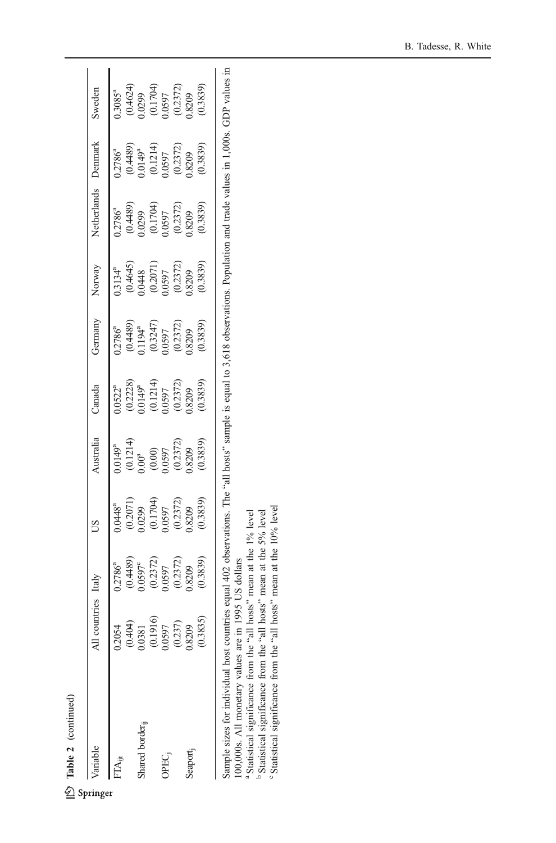|            | countries                                          | ľalv                                                                                         |                                                                                                                                 | <b>Australia</b>                                                                                        | Janada                                                                                                                      | Germany                                                                                                    | Vorway                                                                                           | Netherlands                                                                                                                       | Denmark                                                                                                     | sweden                                                                                                                 |
|------------|----------------------------------------------------|----------------------------------------------------------------------------------------------|---------------------------------------------------------------------------------------------------------------------------------|---------------------------------------------------------------------------------------------------------|-----------------------------------------------------------------------------------------------------------------------------|------------------------------------------------------------------------------------------------------------|--------------------------------------------------------------------------------------------------|-----------------------------------------------------------------------------------------------------------------------------------|-------------------------------------------------------------------------------------------------------------|------------------------------------------------------------------------------------------------------------------------|
|            | 0.205                                              | $0.2786^{a}$                                                                                 |                                                                                                                                 | $0.0149^{a}$                                                                                            |                                                                                                                             |                                                                                                            |                                                                                                  |                                                                                                                                   | $0.2786^{a}$                                                                                                | $0.3085^{a}$                                                                                                           |
|            | $\widehat{\mathfrak{g}}_{\overline{\mathfrak{m}}}$ |                                                                                              | $\begin{array}{l} (0.0448^{\rm a} \ (0.2071) \ 0.0299 \ 0.01704) \ (0.1704) \ 0.0597 \ 0.0397 \ (0.2372) \ 0.08209 \end{array}$ | $\begin{array}{c} (0.1214) \\ 0.00^8 \\ (0.00) \\ (0.0597 \\ (0.2372) \\ (0.8209 \\ 0.8209 \end{array}$ | $\begin{array}{l} (0.0522^a) \ (0.2228) \ 0.0149^a \ (0.1214) \ 0.0597 \ (0.2372) \ (0.2372) \ 0.8209 \ 0.8329 \end{array}$ | $\begin{array}{l} (0.2786^a\ (0.4489)\ 0.1194^a\ (0.3247)\ 0.0597\ (0.2372)\ 0.08209\ 0.8209\ \end{array}$ | $(0.3134^a)$<br>$(0.4645)$<br>$(0.0448)$<br>$(0.2071)$<br>$(0.2372)$<br>$(0.2372)$<br>$(0.2372)$ | $\begin{array}{l} 0.2786^a \\ (0.4489) \\ 0.0299 \\ (0.1704) \\ 0.0597 \\ (0.2372) \\ (0.2372) \\ 0.8209 \\ (0.3839) \end{array}$ | $\begin{array}{c} (0.4489) \\ 0.0149^a \\ (0.1214) \\ 0.0597 \\ (0.2372) \\ 0.38209 \\ 0.3839) \end{array}$ | $\begin{array}{l} (0.4624) \\ 0.0299 \\ (0.1704) \\ (0.1704) \\ (0.0597 \\ (0.2372) \\ 0.8209 \\ (0.3839) \end{array}$ |
| hared l    | 0.038                                              |                                                                                              |                                                                                                                                 |                                                                                                         |                                                                                                                             |                                                                                                            |                                                                                                  |                                                                                                                                   |                                                                                                             |                                                                                                                        |
|            | (916)                                              |                                                                                              |                                                                                                                                 |                                                                                                         |                                                                                                                             |                                                                                                            |                                                                                                  |                                                                                                                                   |                                                                                                             |                                                                                                                        |
| )PEC       | 0.059                                              |                                                                                              |                                                                                                                                 |                                                                                                         |                                                                                                                             |                                                                                                            |                                                                                                  |                                                                                                                                   |                                                                                                             |                                                                                                                        |
|            |                                                    | $\begin{array}{c} (0.4489)\ 0.0597\ 0.02372)\ 0.0597\ 0.0597\ 0.02372)\ 0.8209\ \end{array}$ |                                                                                                                                 |                                                                                                         |                                                                                                                             |                                                                                                            |                                                                                                  |                                                                                                                                   |                                                                                                             |                                                                                                                        |
| $S$ caport | $\frac{(0.237)}{0.8209}$<br>0.820                  |                                                                                              |                                                                                                                                 |                                                                                                         |                                                                                                                             |                                                                                                            |                                                                                                  |                                                                                                                                   |                                                                                                             |                                                                                                                        |
|            | 835)<br>$\overline{0.3}$                           | (0.3839)                                                                                     | (0.3839)                                                                                                                        |                                                                                                         |                                                                                                                             |                                                                                                            |                                                                                                  |                                                                                                                                   |                                                                                                             |                                                                                                                        |

Sample sizes for individual host countries equal 402 observations. The "all hosts" sample is equal to 3,618 observations. Population and trade values in 1,000s. GDP values in<br>100,000s. All monetary values are in 1995 US do Sample sizes for individual host countries equal 402 observations. The "all hosts" sample is equal to 3,618 observations. Population and trade values in 1,000s. GDP values in 100,000s. All monetary values are in 1995 US dollars 100,000s. All monetary values are in 1995 US dollars

a ba Statistical significance from the "all hosts" mean at the 1% level

 $b$  Statistical significance from the "all hosts" mean at the 5% level Statistical significance from the "all hosts" mean at the 10% level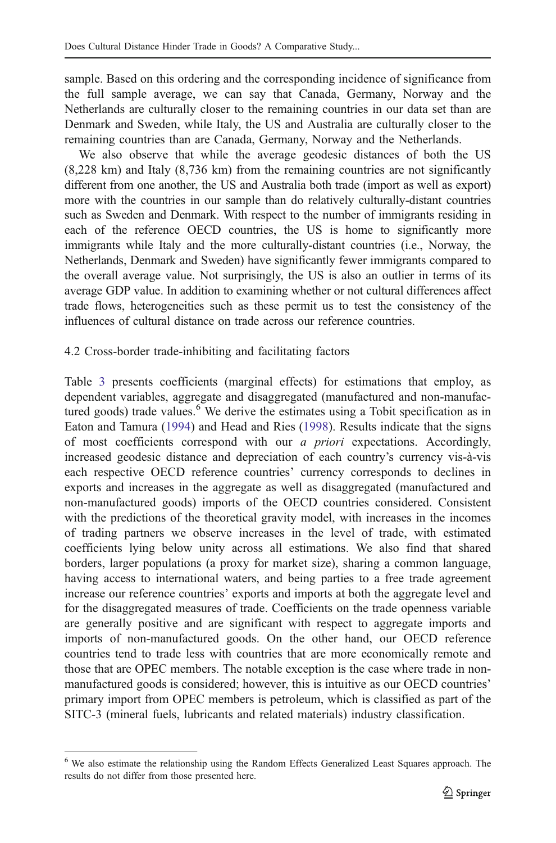sample. Based on this ordering and the corresponding incidence of significance from the full sample average, we can say that Canada, Germany, Norway and the Netherlands are culturally closer to the remaining countries in our data set than are Denmark and Sweden, while Italy, the US and Australia are culturally closer to the remaining countries than are Canada, Germany, Norway and the Netherlands.

We also observe that while the average geodesic distances of both the US (8,228 km) and Italy (8,736 km) from the remaining countries are not significantly different from one another, the US and Australia both trade (import as well as export) more with the countries in our sample than do relatively culturally-distant countries such as Sweden and Denmark. With respect to the number of immigrants residing in each of the reference OECD countries, the US is home to significantly more immigrants while Italy and the more culturally-distant countries (i.e., Norway, the Netherlands, Denmark and Sweden) have significantly fewer immigrants compared to the overall average value. Not surprisingly, the US is also an outlier in terms of its average GDP value. In addition to examining whether or not cultural differences affect trade flows, heterogeneities such as these permit us to test the consistency of the influences of cultural distance on trade across our reference countries.

#### 4.2 Cross-border trade-inhibiting and facilitating factors

Table [3](#page-14-0) presents coefficients (marginal effects) for estimations that employ, as dependent variables, aggregate and disaggregated (manufactured and non-manufactured goods) trade values. $6\degree$  We derive the estimates using a Tobit specification as in Eaton and Tamura ([1994\)](#page-24-0) and Head and Ries ([1998\)](#page-24-0). Results indicate that the signs of most coefficients correspond with our  $a$  priori expectations. Accordingly, increased geodesic distance and depreciation of each country's currency vis-à-vis each respective OECD reference countries' currency corresponds to declines in exports and increases in the aggregate as well as disaggregated (manufactured and non-manufactured goods) imports of the OECD countries considered. Consistent with the predictions of the theoretical gravity model, with increases in the incomes of trading partners we observe increases in the level of trade, with estimated coefficients lying below unity across all estimations. We also find that shared borders, larger populations (a proxy for market size), sharing a common language, having access to international waters, and being parties to a free trade agreement increase our reference countries' exports and imports at both the aggregate level and for the disaggregated measures of trade. Coefficients on the trade openness variable are generally positive and are significant with respect to aggregate imports and imports of non-manufactured goods. On the other hand, our OECD reference countries tend to trade less with countries that are more economically remote and those that are OPEC members. The notable exception is the case where trade in nonmanufactured goods is considered; however, this is intuitive as our OECD countries' primary import from OPEC members is petroleum, which is classified as part of the SITC-3 (mineral fuels, lubricants and related materials) industry classification.

<sup>&</sup>lt;sup>6</sup> We also estimate the relationship using the Random Effects Generalized Least Squares approach. The results do not differ from those presented here.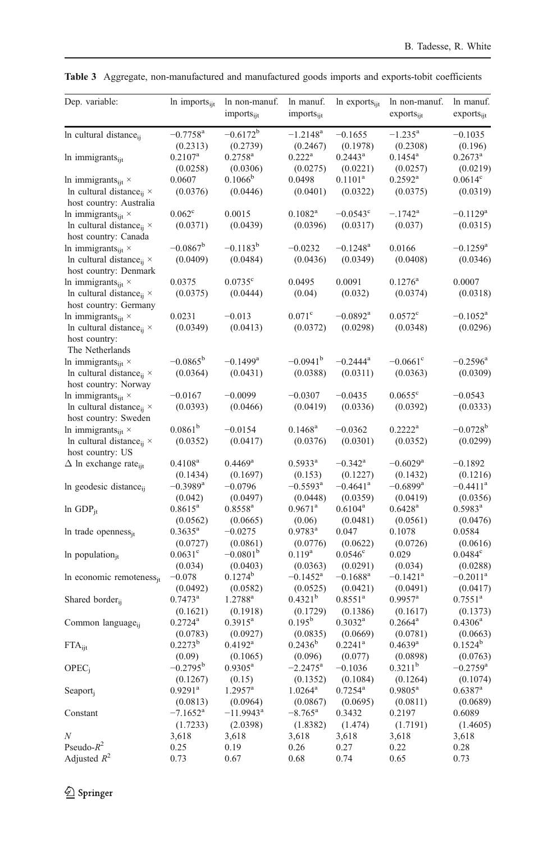| Dep. variable:                                                       | $ln$ imports $_{\text{ii}t}$ | ln non-manuf.<br>imports <sub>ijt</sub> | ln manuf.<br>imports <sub>iit</sub> | $ln$ exports <sub>iit</sub> | ln non-manuf.<br>exports <sub>ijt</sub> | ln manuf.<br>exports <sub>iit</sub> |
|----------------------------------------------------------------------|------------------------------|-----------------------------------------|-------------------------------------|-----------------------------|-----------------------------------------|-------------------------------------|
| In cultural distance <sub>ii</sub>                                   | $-0.7758$ <sup>a</sup>       | $-0.6172^b$                             | $-1.2148$ <sup>a</sup>              | $-0.1655$                   | $-1.235^{\rm a}$                        | $-0.1035$                           |
|                                                                      | (0.2313)                     | (0.2739)                                | (0.2467)                            | (0.1978)                    | (0.2308)                                | (0.196)                             |
| In immigrants <sub>iit</sub>                                         | $0.2107^a$                   | $0.2758^{\rm a}$                        | $0.222^{\rm a}$                     | $0.2443^{\rm a}$            | $0.1454^a$                              | $0.2673^{\rm a}$                    |
|                                                                      | (0.0258)                     | (0.0306)                                | (0.0275)                            | (0.0221)                    | (0.0257)                                | (0.0219)                            |
| In immigrants $_{ijt}$ ×                                             | 0.0607                       | $0.1066^b$                              | 0.0498                              | $0.1101^a$                  | $0.2592^{\text{a}}$                     | $0.0614^c$                          |
| In cultural distance <sub>ii</sub> $\times$                          | (0.0376)                     | (0.0446)                                | (0.0401)                            | (0.0322)                    | (0.0375)                                | (0.0319)                            |
| host country: Australia                                              |                              |                                         |                                     |                             |                                         |                                     |
| ln immigrants <sub>iit</sub> ×                                       | $0.062^{\circ}$              | 0.0015                                  | $0.1082^a$                          | $-0.0543^{\circ}$           | $-.1742$ <sup>a</sup>                   | $-0.1129$ <sup>a</sup>              |
| In cultural distance $_{ii}$ $\times$<br>host country: Canada        | (0.0371)                     | (0.0439)                                | (0.0396)                            | (0.0317)                    | (0.037)                                 | (0.0315)                            |
| ln immigrants <sub>iit</sub> ×                                       | $-0.0867^b$                  | $-0.1183^{\rm b}$                       | $-0.0232$                           | $-0.1248$ <sup>a</sup>      | 0.0166                                  | $-0.1259$ <sup>a</sup>              |
| In cultural distance $_{ii}$ $\times$<br>host country: Denmark       | (0.0409)                     | (0.0484)                                | (0.0436)                            | (0.0349)                    | (0.0408)                                | (0.0346)                            |
| In immigrants $_{\text{ii}t}$ $\times$                               | 0.0375                       | $0.0735^{\circ}$                        | 0.0495                              | 0.0091                      | $0.1276^{\rm a}$                        | 0.0007                              |
| In cultural distance <sub>ii</sub> $\times$<br>host country: Germany | (0.0375)                     | (0.0444)                                | (0.04)                              | (0.032)                     | (0.0374)                                | (0.0318)                            |
| ln immigrants <sub>iit</sub> ×                                       | 0.0231                       | $-0.013$                                | $0.071$ <sup>c</sup>                | $-0.0892$ <sup>a</sup>      | $0.0572^{\circ}$                        | $-0.1052$ <sup>a</sup>              |
| In cultural distance <sub>ii</sub> $\times$<br>host country:         | (0.0349)                     | (0.0413)                                | (0.0372)                            | (0.0298)                    | (0.0348)                                | (0.0296)                            |
| The Netherlands                                                      |                              |                                         |                                     |                             |                                         |                                     |
| In immigrants $_{\text{ijt}}$ $\times$                               | $-0.0865^{\rm b}$            | $-0.1499$ <sup>a</sup>                  | $-0.0941^{\rm b}$                   | $-0.2444$ <sup>a</sup>      | $-0.0661$ <sup>c</sup>                  | $-0.2596^{\rm a}$                   |
| In cultural distance <sub>ii</sub> $\times$<br>host country: Norway  | (0.0364)                     | (0.0431)                                | (0.0388)                            | (0.0311)                    | (0.0363)                                | (0.0309)                            |
| ln immigrants <sub>iit</sub> ×                                       | $-0.0167$                    | $-0.0099$                               | $-0.0307$                           | $-0.0435$                   | $0.0655^{\circ}$                        | $-0.0543$                           |
| In cultural distance <sub>ii</sub> $\times$<br>host country: Sweden  | (0.0393)                     | (0.0466)                                | (0.0419)                            | (0.0336)                    | (0.0392)                                | (0.0333)                            |
| In immigrants $_{\text{ii}t}$ $\times$                               | 0.0861 <sup>b</sup>          | $-0.0154$                               | $0.1468^a$                          | $-0.0362$                   | $0.2222^a$                              | $-0.0728^{b}$                       |
| In cultural distance <sub>ii</sub> $\times$<br>host country: US      | (0.0352)                     | (0.0417)                                | (0.0376)                            | (0.0301)                    | (0.0352)                                | (0.0299)                            |
| $\Delta$ ln exchange rate <sub>iit</sub>                             | $0.4108^{\rm a}$             | $0.4469$ <sup>a</sup>                   | $0.5933^{\rm a}$                    | $-0.342$ <sup>a</sup>       | $-0.6029$ <sup>a</sup>                  | $-0.1892$                           |
|                                                                      | (0.1434)                     | (0.1697)                                | (0.153)                             | (0.1227)                    | (0.1432)                                | (0.1216)                            |
| In geodesic distance <sub>ii</sub>                                   | $-0.3989$ <sup>a</sup>       | $-0.0796$                               | $-0.5593$ <sup>a</sup>              | $-0.4641$ <sup>a</sup>      | $-0.6899$ <sup>a</sup>                  | $-0.4411$ <sup>a</sup>              |
|                                                                      | (0.042)                      | (0.0497)                                | (0.0448)                            | (0.0359)                    | (0.0419)                                | (0.0356)                            |
| $ln$ GDP <sub>it</sub>                                               | $0.8615^{\rm a}$             | $0.8558^{\rm a}$                        | $0.9671^{\rm a}$                    | $0.6104^a$                  | $0.6428^{\rm a}$                        | $0.5983^{\rm a}$                    |
|                                                                      | (0.0562)                     | (0.0665)                                | (0.06)                              | (0.0481)                    | (0.0561)                                | (0.0476)                            |
| In trade openness <sub>it</sub>                                      | $0.3635^{\rm a}$             | $-0.0275$                               | $0.9783^{\rm a}$                    | 0.047                       | 0.1078                                  | 0.0584                              |
|                                                                      | (0.0727)                     | (0.0861)                                | (0.0776)                            | (0.0622)                    | (0.0726)                                | (0.0616)                            |
| In population $_{it}$                                                | $0.0631$ <sup>c</sup>        | $-0.0801^{\rm b}$                       | $0.119^{a}$                         | $0.0546^{\circ}$            | 0.029                                   | $0.0484^{\circ}$                    |
|                                                                      | (0.034)                      | (0.0403)                                | (0.0363)                            | (0.0291)                    | (0.034)                                 | (0.0288)                            |
| In economic remoteness <sub>it</sub>                                 | $-0.078$                     | $0.1274^{b}$                            | $-0.1452$ <sup>a</sup>              | $-0.1688$ <sup>a</sup>      | $-0.1421$ <sup>a</sup>                  | $-0.2011$ <sup>a</sup>              |
|                                                                      | (0.0492)                     | (0.0582)                                | (0.0525)                            | (0.0421)                    | (0.0491)                                | (0.0417)                            |
| Shared border <sub>ii</sub>                                          | $0.7473^a$                   | $1.2788^a$                              | 0.4321 <sup>b</sup>                 | $0.8551^{\rm a}$            | $0.9957$ <sup>a</sup>                   | $0.7551^{\rm a}$                    |
|                                                                      | (0.1621)                     | (0.1918)                                | (0.1729)                            | (0.1386)                    | (0.1617)                                | (0.1373)                            |
| Common language <sub>ii</sub>                                        | $0.2724^a$                   | $0.3915^a$                              | $0.195^{b}$                         | $0.3032^{\rm a}$            | $0.2664^a$                              | $0.4306^{\rm a}$                    |
|                                                                      | (0.0783)                     | (0.0927)                                | (0.0835)                            | (0.0669)                    | (0.0781)                                | (0.0663)                            |
| $FTA_{ijt}$                                                          | $0.2273^b$                   | $0.4192^a$                              | $0.2436^b$                          | $0.2241$ <sup>a</sup>       | $0.4639^{a}$                            | $0.1524^b$                          |
|                                                                      | (0.09)                       | (0.1065)                                | (0.096)                             | (0.077)                     | (0.0898)                                | (0.0763)                            |
| OPEC <sub>i</sub>                                                    | $-0.2795^{\circ}$            | $0.9305^{\rm a}$                        | $-2.2475^{\mathrm{a}}$              | $-0.1036$                   | $0.3211^b$                              | $-0.2759$ <sup>a</sup>              |
|                                                                      | (0.1267)                     | (0.15)                                  | (0.1352)                            | (0.1084)                    | (0.1264)                                | (0.1074)                            |
| Seaport <sub>i</sub>                                                 | $0.9291$ <sup>a</sup>        | $1.2957^{\rm a}$                        | $1.0264^{\rm a}$                    | $0.7254^{\rm a}$            | $0.9805^{\rm a}$                        | $0.6387$ <sup>a</sup>               |
|                                                                      | (0.0813)                     | (0.0964)                                | (0.0867)                            | (0.0695)                    | (0.0811)                                | (0.0689)                            |
| Constant                                                             | $-7.1652$ <sup>a</sup>       | $-11.9943$ <sup>a</sup>                 | $-8.765^{\rm a}$                    | 0.3432                      | 0.2197                                  | 0.6089                              |
|                                                                      | (1.7233)                     | (2.0398)                                | (1.8382)                            | (1.474)                     | (1.7191)                                | (1.4605)                            |
| N                                                                    | 3,618                        | 3,618                                   | 3,618                               | 3,618                       | 3,618                                   | 3,618                               |
| Pseudo- $R^2$                                                        | 0.25                         | 0.19                                    | 0.26                                | 0.27                        | 0.22                                    | 0.28                                |
| Adjusted $R^2$                                                       | 0.73                         | 0.67                                    | 0.68                                | 0.74                        | 0.65                                    | 0.73                                |

<span id="page-14-0"></span>Table 3 Aggregate, non-manufactured and manufactured goods imports and exports-tobit coefficients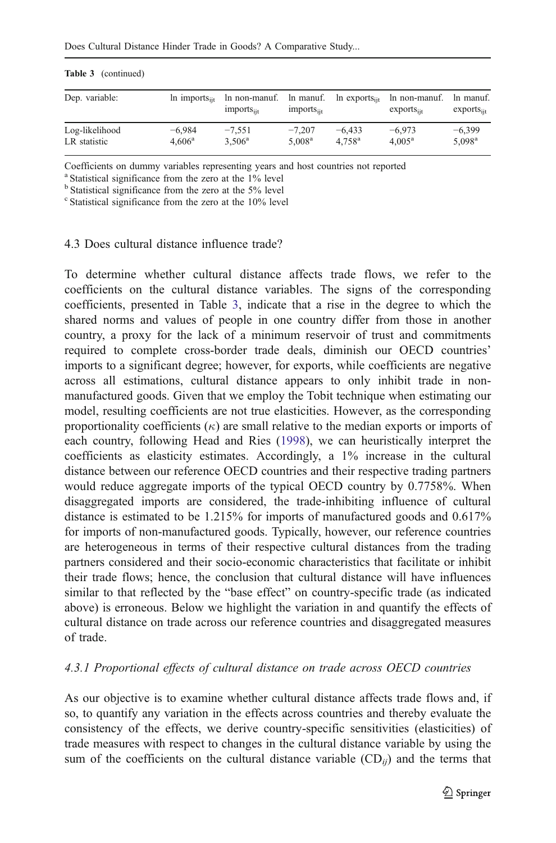| Dep. variable: | In imports <sub>iit</sub> | $imports_{ii}$  | $imports_{ii}$     |             | In non-manuf. In manuf. In exports <sub>iit</sub> In non-manuf. In manuf.<br>$exports_{\text{ii}}$ | $exports_{\text{ii}}$ |
|----------------|---------------------------|-----------------|--------------------|-------------|----------------------------------------------------------------------------------------------------|-----------------------|
| Log-likelihood | $-6.984$                  | $-7.551$        | $-7.207$           | $-6.433$    | $-6.973$                                                                                           | $-6,399$              |
| LR statistic   | 4.606 <sup>a</sup>        | $3.506^{\rm a}$ | 5.008 <sup>a</sup> | $4.758^{a}$ | $4.005^{\rm a}$                                                                                    | 5.098 <sup>a</sup>    |

#### Table 3 (continued)

Coefficients on dummy variables representing years and host countries not reported

<sup>a</sup> Statistical significance from the zero at the 1% level

<sup>b</sup> Statistical significance from the zero at the 5% level

 $\degree$  Statistical significance from the zero at the 10% level

4.3 Does cultural distance influence trade?

To determine whether cultural distance affects trade flows, we refer to the coefficients on the cultural distance variables. The signs of the corresponding coefficients, presented in Table [3,](#page-14-0) indicate that a rise in the degree to which the shared norms and values of people in one country differ from those in another country, a proxy for the lack of a minimum reservoir of trust and commitments required to complete cross-border trade deals, diminish our OECD countries' imports to a significant degree; however, for exports, while coefficients are negative across all estimations, cultural distance appears to only inhibit trade in nonmanufactured goods. Given that we employ the Tobit technique when estimating our model, resulting coefficients are not true elasticities. However, as the corresponding proportionality coefficients  $(\kappa)$  are small relative to the median exports or imports of each country, following Head and Ries ([1998\)](#page-24-0), we can heuristically interpret the coefficients as elasticity estimates. Accordingly, a 1% increase in the cultural distance between our reference OECD countries and their respective trading partners would reduce aggregate imports of the typical OECD country by 0.7758%. When disaggregated imports are considered, the trade-inhibiting influence of cultural distance is estimated to be 1.215% for imports of manufactured goods and 0.617% for imports of non-manufactured goods. Typically, however, our reference countries are heterogeneous in terms of their respective cultural distances from the trading partners considered and their socio-economic characteristics that facilitate or inhibit their trade flows; hence, the conclusion that cultural distance will have influences similar to that reflected by the "base effect" on country-specific trade (as indicated above) is erroneous. Below we highlight the variation in and quantify the effects of cultural distance on trade across our reference countries and disaggregated measures of trade.

#### 4.3.1 Proportional effects of cultural distance on trade across OECD countries

As our objective is to examine whether cultural distance affects trade flows and, if so, to quantify any variation in the effects across countries and thereby evaluate the consistency of the effects, we derive country-specific sensitivities (elasticities) of trade measures with respect to changes in the cultural distance variable by using the sum of the coefficients on the cultural distance variable  $(CD_{ii})$  and the terms that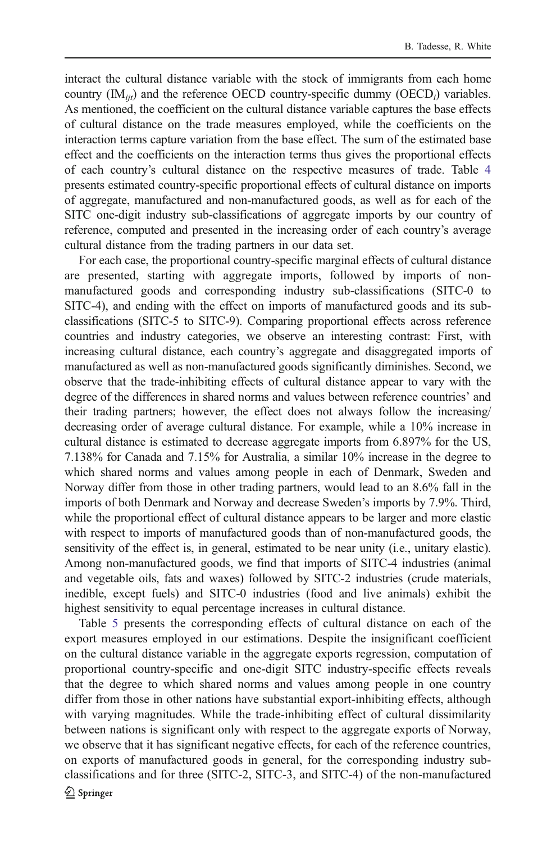interact the cultural distance variable with the stock of immigrants from each home country  $(IM_{ijt})$  and the reference OECD country-specific dummy  $(OECD_i)$  variables. As mentioned, the coefficient on the cultural distance variable captures the base effects of cultural distance on the trade measures employed, while the coefficients on the interaction terms capture variation from the base effect. The sum of the estimated base effect and the coefficients on the interaction terms thus gives the proportional effects of each country's cultural distance on the respective measures of trade. Table [4](#page-17-0) presents estimated country-specific proportional effects of cultural distance on imports of aggregate, manufactured and non-manufactured goods, as well as for each of the SITC one-digit industry sub-classifications of aggregate imports by our country of reference, computed and presented in the increasing order of each country's average cultural distance from the trading partners in our data set.

For each case, the proportional country-specific marginal effects of cultural distance are presented, starting with aggregate imports, followed by imports of nonmanufactured goods and corresponding industry sub-classifications (SITC-0 to SITC-4), and ending with the effect on imports of manufactured goods and its subclassifications (SITC-5 to SITC-9). Comparing proportional effects across reference countries and industry categories, we observe an interesting contrast: First, with increasing cultural distance, each country's aggregate and disaggregated imports of manufactured as well as non-manufactured goods significantly diminishes. Second, we observe that the trade-inhibiting effects of cultural distance appear to vary with the degree of the differences in shared norms and values between reference countries' and their trading partners; however, the effect does not always follow the increasing/ decreasing order of average cultural distance. For example, while a 10% increase in cultural distance is estimated to decrease aggregate imports from 6.897% for the US, 7.138% for Canada and 7.15% for Australia, a similar 10% increase in the degree to which shared norms and values among people in each of Denmark, Sweden and Norway differ from those in other trading partners, would lead to an 8.6% fall in the imports of both Denmark and Norway and decrease Sweden's imports by 7.9%. Third, while the proportional effect of cultural distance appears to be larger and more elastic with respect to imports of manufactured goods than of non-manufactured goods, the sensitivity of the effect is, in general, estimated to be near unity (i.e., unitary elastic). Among non-manufactured goods, we find that imports of SITC-4 industries (animal and vegetable oils, fats and waxes) followed by SITC-2 industries (crude materials, inedible, except fuels) and SITC-0 industries (food and live animals) exhibit the highest sensitivity to equal percentage increases in cultural distance.

Table [5](#page-18-0) presents the corresponding effects of cultural distance on each of the export measures employed in our estimations. Despite the insignificant coefficient on the cultural distance variable in the aggregate exports regression, computation of proportional country-specific and one-digit SITC industry-specific effects reveals that the degree to which shared norms and values among people in one country differ from those in other nations have substantial export-inhibiting effects, although with varying magnitudes. While the trade-inhibiting effect of cultural dissimilarity between nations is significant only with respect to the aggregate exports of Norway, we observe that it has significant negative effects, for each of the reference countries, on exports of manufactured goods in general, for the corresponding industry subclassifications and for three (SITC-2, SITC-3, and SITC-4) of the non-manufactured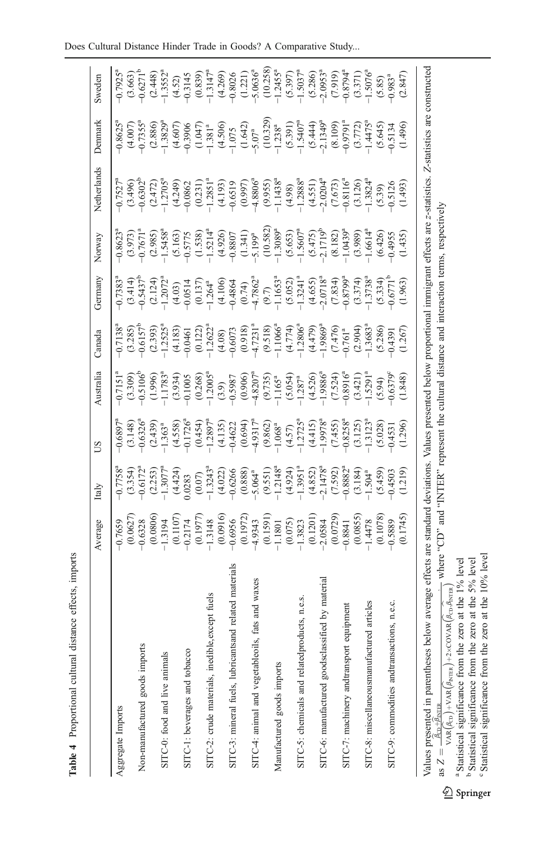Table 4 Proportional cultural distance effects, imports Table 4 Proportional cultural distance effects, imports

|                                                                                                                                                                                     | Average                                                                                                                                                                                                                                                               | Italy                                                                                                                                                                                                                                                                                                                                            | SU                                                                                                                                                                                                                                                                   | Australia                                                                                                                                                                                                                                                                      | Canada | Germany                                                                                                                                                                                                                                                                                                                 | Norway                                                                                                                                                                                                                                                                | Netherlands                                                                                                                                                                                                                                                                                        | Denmark                                                                                                                                                                                                                                                                                                                                                                                                                                                       | Sweden                                                                                                                                                                                                                                                                  |
|-------------------------------------------------------------------------------------------------------------------------------------------------------------------------------------|-----------------------------------------------------------------------------------------------------------------------------------------------------------------------------------------------------------------------------------------------------------------------|--------------------------------------------------------------------------------------------------------------------------------------------------------------------------------------------------------------------------------------------------------------------------------------------------------------------------------------------------|----------------------------------------------------------------------------------------------------------------------------------------------------------------------------------------------------------------------------------------------------------------------|--------------------------------------------------------------------------------------------------------------------------------------------------------------------------------------------------------------------------------------------------------------------------------|--------|-------------------------------------------------------------------------------------------------------------------------------------------------------------------------------------------------------------------------------------------------------------------------------------------------------------------------|-----------------------------------------------------------------------------------------------------------------------------------------------------------------------------------------------------------------------------------------------------------------------|----------------------------------------------------------------------------------------------------------------------------------------------------------------------------------------------------------------------------------------------------------------------------------------------------|---------------------------------------------------------------------------------------------------------------------------------------------------------------------------------------------------------------------------------------------------------------------------------------------------------------------------------------------------------------------------------------------------------------------------------------------------------------|-------------------------------------------------------------------------------------------------------------------------------------------------------------------------------------------------------------------------------------------------------------------------|
| Aggregate Imports                                                                                                                                                                   |                                                                                                                                                                                                                                                                       |                                                                                                                                                                                                                                                                                                                                                  |                                                                                                                                                                                                                                                                      |                                                                                                                                                                                                                                                                                |        |                                                                                                                                                                                                                                                                                                                         |                                                                                                                                                                                                                                                                       |                                                                                                                                                                                                                                                                                                    |                                                                                                                                                                                                                                                                                                                                                                                                                                                               |                                                                                                                                                                                                                                                                         |
|                                                                                                                                                                                     |                                                                                                                                                                                                                                                                       |                                                                                                                                                                                                                                                                                                                                                  |                                                                                                                                                                                                                                                                      |                                                                                                                                                                                                                                                                                |        |                                                                                                                                                                                                                                                                                                                         |                                                                                                                                                                                                                                                                       |                                                                                                                                                                                                                                                                                                    |                                                                                                                                                                                                                                                                                                                                                                                                                                                               |                                                                                                                                                                                                                                                                         |
| Non-manufactured goods imports                                                                                                                                                      |                                                                                                                                                                                                                                                                       |                                                                                                                                                                                                                                                                                                                                                  |                                                                                                                                                                                                                                                                      |                                                                                                                                                                                                                                                                                |        |                                                                                                                                                                                                                                                                                                                         |                                                                                                                                                                                                                                                                       |                                                                                                                                                                                                                                                                                                    |                                                                                                                                                                                                                                                                                                                                                                                                                                                               |                                                                                                                                                                                                                                                                         |
|                                                                                                                                                                                     |                                                                                                                                                                                                                                                                       |                                                                                                                                                                                                                                                                                                                                                  |                                                                                                                                                                                                                                                                      |                                                                                                                                                                                                                                                                                |        |                                                                                                                                                                                                                                                                                                                         |                                                                                                                                                                                                                                                                       |                                                                                                                                                                                                                                                                                                    |                                                                                                                                                                                                                                                                                                                                                                                                                                                               |                                                                                                                                                                                                                                                                         |
| SITC-0: food and live animals                                                                                                                                                       |                                                                                                                                                                                                                                                                       |                                                                                                                                                                                                                                                                                                                                                  |                                                                                                                                                                                                                                                                      |                                                                                                                                                                                                                                                                                |        |                                                                                                                                                                                                                                                                                                                         |                                                                                                                                                                                                                                                                       |                                                                                                                                                                                                                                                                                                    |                                                                                                                                                                                                                                                                                                                                                                                                                                                               |                                                                                                                                                                                                                                                                         |
|                                                                                                                                                                                     | $\begin{array}{l} 7659\\ 0.0627\\ 0.0328\\ 0.110\\ 0.111\\ 0.111\\ 0.000\\ 0.000\\ 0.000\\ 0.000\\ 0.000\\ 0.000\\ 0.000\\ 0.000\\ 0.000\\ 0.000\\ 0.000\\ 0.000\\ 0.000\\ 0.000\\ 0.000\\ 0.000\\ 0.000\\ 0.000\\ 0.000\\ 0.000\\ 0.000\\ 0.000\\ 0.000\\ 0.000\\ 0$ | $758^{\circ}$<br>$6.354$ )<br>$752^{\circ}$<br>$6.353$ )<br>$753^{\circ}$<br>$753^{\circ}$<br>$753^{\circ}$<br>$753^{\circ}$<br>$753^{\circ}$<br>$753^{\circ}$<br>$753^{\circ}$<br>$753^{\circ}$<br>$753^{\circ}$<br>$753^{\circ}$<br>$753^{\circ}$<br>$753^{\circ}$<br>$753^{\circ}$<br>$753^{\circ}$<br>$753^{\circ}$<br>$753^{\circ}$<br>$75$ | $\begin{array}{l} 6.6897\\ 0.1480\\ 0.4358\\ 0.6326\\ 0.439\\ 0.439\\ 0.439\\ 0.439\\ 0.439\\ 0.439\\ 0.439\\ 0.439\\ 0.439\\ 0.439\\ 0.439\\ 0.439\\ 0.439\\ 0.439\\ 0.439\\ 0.439\\ 0.439\\ 0.439\\ 0.439\\ 0.439\\ 0.439\\ 0.439\\ 0.439\\ 0.439\\ 0.439\\ 0.439$ | $0.7151^{4}$<br>$0.309$<br>$0.4936$<br>$0.506$<br>$0.506$<br>$0.506$<br>$0.506$<br>$0.506$<br>$0.506$<br>$0.506$<br>$0.506$<br>$0.506$<br>$0.506$<br>$0.506$<br>$0.506$<br>$0.506$<br>$0.506$<br>$0.506$<br>$0.506$<br>$0.507$<br>$0.507$<br>$0.507$<br>$0.507$<br>$0.507$<br> |        | $\begin{array}{l} 7383^{{}83} \\ 7383^{{}83} \\ 444 \\ 6410 \\ 7547 \\ 740 \\ 81 \\ 741 \\ 750 \\ 741 \\ 750 \\ 741 \\ 750 \\ 764 \\ 765 \\ 776 \\ 785 \\ 786 \\ 785 \\ 786 \\ 785 \\ 785 \\ 785 \\ 785 \\ 785 \\ 784 \\ 786 \\ 785 \\ 784 \\ 784 \\ 786 \\ 785 \\ 784 \\ 784 \\ 784 \\ 785 \\ 784 \\ 784 \\ 784 \\ 78$ | $\begin{array}{l} 6.6673\\ 0.973)\\ 0.6771\\ 0.163\\ 0.163\\ 0.163\\ 0.163\\ 0.163\\ 0.163\\ 0.163\\ 0.163\\ 0.164\\ 0.164\\ 0.165\\ 0.165\\ 0.166\\ 0.167\\ 0.167\\ 0.168\\ 0.167\\ 0.168\\ 0.163\\ 0.167\\ 0.168\\ 0.167\\ 0.168\\ 0.163\\ 0.168\\ 0.162\\ 0.163\\$ | $\begin{smallmatrix} (3.496)\\ (3.490)\\ (2.472)\\ (2.472)\\ (3.208)\\ (4.128)\\ (5.21)\\ (4.193)\\ (4.193)\\ (4.193)\\ (4.193)\\ (4.193)\\ (4.98)\\ (4.98)\\ (4.98)\\ (4.51)\\ (4.191)\\ (4.192)\\ (4.193)\\ (4.191)\\ (4.192)\\ (4.193)\\ (4.193)\\ (4.193)\\ (4.193)\\ (4.193)\\ (4.193)\\ (4.$ | $\begin{array}{l} \left( \begin{array}{l} 6655 \\ 6007 \\ 7558 \\ 6007 \\ \end{array} \right) \end{array} \begin{array}{l} \left( \begin{array}{l} 665 \\ 6007 \\ 6007 \\ \end{array} \right) \end{array} \begin{array}{l} \left( \begin{array}{l} 665 \\ 6007 \\ 6007 \\ \end{array} \right) \end{array} \begin{array}{l} \left( \begin{array}{l} 665 \\ 6007 \\ 6007 \\ \end{array} \right) \end{array} \begin{array}{l} \left( \begin{array}{l} 665 \\ 60$ |                                                                                                                                                                                                                                                                         |
| SITC-1: beverages and tobacco                                                                                                                                                       |                                                                                                                                                                                                                                                                       |                                                                                                                                                                                                                                                                                                                                                  |                                                                                                                                                                                                                                                                      |                                                                                                                                                                                                                                                                                |        |                                                                                                                                                                                                                                                                                                                         |                                                                                                                                                                                                                                                                       |                                                                                                                                                                                                                                                                                                    |                                                                                                                                                                                                                                                                                                                                                                                                                                                               |                                                                                                                                                                                                                                                                         |
|                                                                                                                                                                                     |                                                                                                                                                                                                                                                                       |                                                                                                                                                                                                                                                                                                                                                  |                                                                                                                                                                                                                                                                      |                                                                                                                                                                                                                                                                                |        |                                                                                                                                                                                                                                                                                                                         |                                                                                                                                                                                                                                                                       |                                                                                                                                                                                                                                                                                                    |                                                                                                                                                                                                                                                                                                                                                                                                                                                               |                                                                                                                                                                                                                                                                         |
| SITC-2: crude materials, inedible, except fuels                                                                                                                                     |                                                                                                                                                                                                                                                                       |                                                                                                                                                                                                                                                                                                                                                  |                                                                                                                                                                                                                                                                      |                                                                                                                                                                                                                                                                                |        |                                                                                                                                                                                                                                                                                                                         |                                                                                                                                                                                                                                                                       |                                                                                                                                                                                                                                                                                                    |                                                                                                                                                                                                                                                                                                                                                                                                                                                               |                                                                                                                                                                                                                                                                         |
|                                                                                                                                                                                     |                                                                                                                                                                                                                                                                       |                                                                                                                                                                                                                                                                                                                                                  |                                                                                                                                                                                                                                                                      |                                                                                                                                                                                                                                                                                |        |                                                                                                                                                                                                                                                                                                                         |                                                                                                                                                                                                                                                                       |                                                                                                                                                                                                                                                                                                    |                                                                                                                                                                                                                                                                                                                                                                                                                                                               |                                                                                                                                                                                                                                                                         |
| related material<br>SITC-3: mineral fuels, lubricantsand                                                                                                                            |                                                                                                                                                                                                                                                                       |                                                                                                                                                                                                                                                                                                                                                  |                                                                                                                                                                                                                                                                      |                                                                                                                                                                                                                                                                                |        |                                                                                                                                                                                                                                                                                                                         |                                                                                                                                                                                                                                                                       |                                                                                                                                                                                                                                                                                                    |                                                                                                                                                                                                                                                                                                                                                                                                                                                               |                                                                                                                                                                                                                                                                         |
|                                                                                                                                                                                     |                                                                                                                                                                                                                                                                       |                                                                                                                                                                                                                                                                                                                                                  |                                                                                                                                                                                                                                                                      |                                                                                                                                                                                                                                                                                |        |                                                                                                                                                                                                                                                                                                                         |                                                                                                                                                                                                                                                                       |                                                                                                                                                                                                                                                                                                    |                                                                                                                                                                                                                                                                                                                                                                                                                                                               |                                                                                                                                                                                                                                                                         |
| SITC-4: animal and vegetableoils, fats and waxes                                                                                                                                    |                                                                                                                                                                                                                                                                       |                                                                                                                                                                                                                                                                                                                                                  |                                                                                                                                                                                                                                                                      |                                                                                                                                                                                                                                                                                |        |                                                                                                                                                                                                                                                                                                                         |                                                                                                                                                                                                                                                                       |                                                                                                                                                                                                                                                                                                    |                                                                                                                                                                                                                                                                                                                                                                                                                                                               |                                                                                                                                                                                                                                                                         |
|                                                                                                                                                                                     |                                                                                                                                                                                                                                                                       |                                                                                                                                                                                                                                                                                                                                                  |                                                                                                                                                                                                                                                                      |                                                                                                                                                                                                                                                                                |        |                                                                                                                                                                                                                                                                                                                         |                                                                                                                                                                                                                                                                       |                                                                                                                                                                                                                                                                                                    |                                                                                                                                                                                                                                                                                                                                                                                                                                                               |                                                                                                                                                                                                                                                                         |
| Manufactured goods imports                                                                                                                                                          |                                                                                                                                                                                                                                                                       |                                                                                                                                                                                                                                                                                                                                                  |                                                                                                                                                                                                                                                                      |                                                                                                                                                                                                                                                                                |        |                                                                                                                                                                                                                                                                                                                         |                                                                                                                                                                                                                                                                       |                                                                                                                                                                                                                                                                                                    |                                                                                                                                                                                                                                                                                                                                                                                                                                                               |                                                                                                                                                                                                                                                                         |
|                                                                                                                                                                                     |                                                                                                                                                                                                                                                                       |                                                                                                                                                                                                                                                                                                                                                  |                                                                                                                                                                                                                                                                      |                                                                                                                                                                                                                                                                                |        |                                                                                                                                                                                                                                                                                                                         |                                                                                                                                                                                                                                                                       |                                                                                                                                                                                                                                                                                                    |                                                                                                                                                                                                                                                                                                                                                                                                                                                               |                                                                                                                                                                                                                                                                         |
| SITC-5: chemicals and relatedproducts, n.e.s.                                                                                                                                       |                                                                                                                                                                                                                                                                       |                                                                                                                                                                                                                                                                                                                                                  |                                                                                                                                                                                                                                                                      |                                                                                                                                                                                                                                                                                |        |                                                                                                                                                                                                                                                                                                                         |                                                                                                                                                                                                                                                                       |                                                                                                                                                                                                                                                                                                    |                                                                                                                                                                                                                                                                                                                                                                                                                                                               |                                                                                                                                                                                                                                                                         |
|                                                                                                                                                                                     |                                                                                                                                                                                                                                                                       |                                                                                                                                                                                                                                                                                                                                                  |                                                                                                                                                                                                                                                                      |                                                                                                                                                                                                                                                                                |        |                                                                                                                                                                                                                                                                                                                         |                                                                                                                                                                                                                                                                       |                                                                                                                                                                                                                                                                                                    |                                                                                                                                                                                                                                                                                                                                                                                                                                                               |                                                                                                                                                                                                                                                                         |
| SITC-6: manufactured goodsclassified by materia                                                                                                                                     |                                                                                                                                                                                                                                                                       |                                                                                                                                                                                                                                                                                                                                                  |                                                                                                                                                                                                                                                                      |                                                                                                                                                                                                                                                                                |        |                                                                                                                                                                                                                                                                                                                         |                                                                                                                                                                                                                                                                       |                                                                                                                                                                                                                                                                                                    |                                                                                                                                                                                                                                                                                                                                                                                                                                                               |                                                                                                                                                                                                                                                                         |
|                                                                                                                                                                                     |                                                                                                                                                                                                                                                                       |                                                                                                                                                                                                                                                                                                                                                  |                                                                                                                                                                                                                                                                      |                                                                                                                                                                                                                                                                                |        |                                                                                                                                                                                                                                                                                                                         |                                                                                                                                                                                                                                                                       |                                                                                                                                                                                                                                                                                                    |                                                                                                                                                                                                                                                                                                                                                                                                                                                               |                                                                                                                                                                                                                                                                         |
| ipment<br>SITC-7: machinery andtransport equ                                                                                                                                        |                                                                                                                                                                                                                                                                       |                                                                                                                                                                                                                                                                                                                                                  |                                                                                                                                                                                                                                                                      |                                                                                                                                                                                                                                                                                |        |                                                                                                                                                                                                                                                                                                                         |                                                                                                                                                                                                                                                                       |                                                                                                                                                                                                                                                                                                    |                                                                                                                                                                                                                                                                                                                                                                                                                                                               |                                                                                                                                                                                                                                                                         |
|                                                                                                                                                                                     |                                                                                                                                                                                                                                                                       |                                                                                                                                                                                                                                                                                                                                                  |                                                                                                                                                                                                                                                                      |                                                                                                                                                                                                                                                                                |        |                                                                                                                                                                                                                                                                                                                         |                                                                                                                                                                                                                                                                       |                                                                                                                                                                                                                                                                                                    |                                                                                                                                                                                                                                                                                                                                                                                                                                                               |                                                                                                                                                                                                                                                                         |
| articles<br>SITC-8: miscellaneousmanufactured                                                                                                                                       |                                                                                                                                                                                                                                                                       |                                                                                                                                                                                                                                                                                                                                                  |                                                                                                                                                                                                                                                                      |                                                                                                                                                                                                                                                                                |        |                                                                                                                                                                                                                                                                                                                         |                                                                                                                                                                                                                                                                       |                                                                                                                                                                                                                                                                                                    |                                                                                                                                                                                                                                                                                                                                                                                                                                                               |                                                                                                                                                                                                                                                                         |
|                                                                                                                                                                                     |                                                                                                                                                                                                                                                                       |                                                                                                                                                                                                                                                                                                                                                  |                                                                                                                                                                                                                                                                      |                                                                                                                                                                                                                                                                                |        |                                                                                                                                                                                                                                                                                                                         |                                                                                                                                                                                                                                                                       | $\begin{array}{c} (5.39) \\ 0.5126 \\ (1.493) \end{array}$                                                                                                                                                                                                                                         |                                                                                                                                                                                                                                                                                                                                                                                                                                                               |                                                                                                                                                                                                                                                                         |
| n.e.c<br>SITC-9: commodities andtransactions,                                                                                                                                       |                                                                                                                                                                                                                                                                       |                                                                                                                                                                                                                                                                                                                                                  |                                                                                                                                                                                                                                                                      |                                                                                                                                                                                                                                                                                |        |                                                                                                                                                                                                                                                                                                                         |                                                                                                                                                                                                                                                                       |                                                                                                                                                                                                                                                                                                    |                                                                                                                                                                                                                                                                                                                                                                                                                                                               |                                                                                                                                                                                                                                                                         |
|                                                                                                                                                                                     |                                                                                                                                                                                                                                                                       |                                                                                                                                                                                                                                                                                                                                                  |                                                                                                                                                                                                                                                                      |                                                                                                                                                                                                                                                                                |        |                                                                                                                                                                                                                                                                                                                         |                                                                                                                                                                                                                                                                       |                                                                                                                                                                                                                                                                                                    |                                                                                                                                                                                                                                                                                                                                                                                                                                                               | $9.5^{54}$<br>$(3.663)$<br>$(2.448)$<br>$(3.445)$<br>$(4.52)$<br>$(5.448)$<br>$(5.445)$<br>$(6.83)$<br>$(7.445)$<br>$(8.89)$<br>$(1.245)$<br>$(1.245)$<br>$(1.245)$<br>$(1.245)$<br>$(1.245)$<br>$(1.245)$<br>$(1.245)$<br>$(1.245)$<br>$(1.245)$<br>$(1.245)$<br>$(1.$ |
| Values presented in parentheses below average effects are standard deviations. Values presented below proportional immigrant effects are z-statistics. Z-statistics are constructed |                                                                                                                                                                                                                                                                       |                                                                                                                                                                                                                                                                                                                                                  |                                                                                                                                                                                                                                                                      |                                                                                                                                                                                                                                                                                |        |                                                                                                                                                                                                                                                                                                                         |                                                                                                                                                                                                                                                                       |                                                                                                                                                                                                                                                                                                    |                                                                                                                                                                                                                                                                                                                                                                                                                                                               |                                                                                                                                                                                                                                                                         |

Values presented in parentheses below average effects are standard deviations. Values presented below proportional immigrant effects are z-statistics.  $\forall$  where "CD" and "INTER" represent the cultural distance and interaction terms, respectively <sup>a</sup> Statistical significance from the zero at the 1% level Statistical significance from the zero at the 1% level  $\left(\widehat{\beta}_{\mathrm{CD}}\widehat{\beta}_{\mathrm{NTER}}\right)$  $\hat{\beta}_{CD} + \hat{\beta}_{NTER}$  ;  $\hat{\beta}_{CD}$  $\delta$ COVAR  $+2\times$  $\left(\widehat{\beta}_{\mathrm{NTER}}\right)$ þVAR  $\binom{\hat{\beta}_{\text{CD}}}{}$ as  $Z = \frac{\rho_c}{\text{VAR}}$  $\frac{1}{2}$ 

b Statistical significance from the zero at the 5% level  $b$  Statistical significance from the zero at the 5% level<br>  $c$  Statistical significance from the zero at the 10% level Statistical significance from the zero at the 10% level

<span id="page-17-0"></span>Does Cultural Distance Hinder Trade in Goods? A Comparative Study...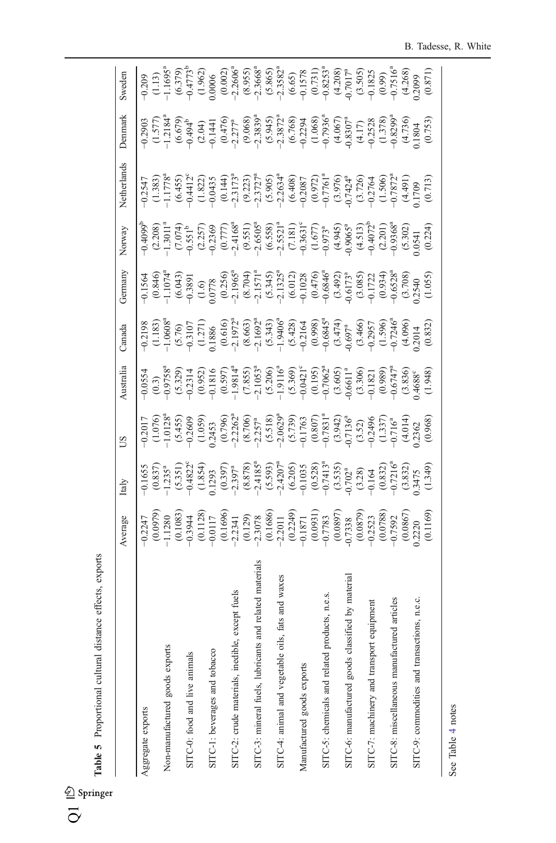Table 5 Proportional cultural distance effects, exports Table 5 Proportional cultural distance effects, exports

<span id="page-18-0"></span>

|                                                       | Averago                                                                                                                                                                                                                                                                                                               | Italy                                                                                                                                                                                                                                                                                                        | SU                                                                                                                                                                                                                                                                                                              | Australia                                                                                                                                                                                                                                                                                                                      | $\Box$ anada                                                                                                                                                                                                                                                                                                                  | Germany                                                                                                                                                                                                                                                                                                                          | Norway                                                                                                                                                                                                                                                                 | Netherlands                                                                                                                                                                                                                                                                                       | Denmark                                                                                                                                                                                                                                                                                    | Sweden                                                                                                                                                                                                                                                                                      |
|-------------------------------------------------------|-----------------------------------------------------------------------------------------------------------------------------------------------------------------------------------------------------------------------------------------------------------------------------------------------------------------------|--------------------------------------------------------------------------------------------------------------------------------------------------------------------------------------------------------------------------------------------------------------------------------------------------------------|-----------------------------------------------------------------------------------------------------------------------------------------------------------------------------------------------------------------------------------------------------------------------------------------------------------------|--------------------------------------------------------------------------------------------------------------------------------------------------------------------------------------------------------------------------------------------------------------------------------------------------------------------------------|-------------------------------------------------------------------------------------------------------------------------------------------------------------------------------------------------------------------------------------------------------------------------------------------------------------------------------|----------------------------------------------------------------------------------------------------------------------------------------------------------------------------------------------------------------------------------------------------------------------------------------------------------------------------------|------------------------------------------------------------------------------------------------------------------------------------------------------------------------------------------------------------------------------------------------------------------------|---------------------------------------------------------------------------------------------------------------------------------------------------------------------------------------------------------------------------------------------------------------------------------------------------|--------------------------------------------------------------------------------------------------------------------------------------------------------------------------------------------------------------------------------------------------------------------------------------------|---------------------------------------------------------------------------------------------------------------------------------------------------------------------------------------------------------------------------------------------------------------------------------------------|
| Aggregate exports                                     |                                                                                                                                                                                                                                                                                                                       |                                                                                                                                                                                                                                                                                                              |                                                                                                                                                                                                                                                                                                                 |                                                                                                                                                                                                                                                                                                                                |                                                                                                                                                                                                                                                                                                                               |                                                                                                                                                                                                                                                                                                                                  |                                                                                                                                                                                                                                                                        |                                                                                                                                                                                                                                                                                                   |                                                                                                                                                                                                                                                                                            |                                                                                                                                                                                                                                                                                             |
| Non-manufactured goods exports                        |                                                                                                                                                                                                                                                                                                                       |                                                                                                                                                                                                                                                                                                              |                                                                                                                                                                                                                                                                                                                 |                                                                                                                                                                                                                                                                                                                                |                                                                                                                                                                                                                                                                                                                               |                                                                                                                                                                                                                                                                                                                                  |                                                                                                                                                                                                                                                                        |                                                                                                                                                                                                                                                                                                   |                                                                                                                                                                                                                                                                                            |                                                                                                                                                                                                                                                                                             |
| SITC-0: food and live animals                         |                                                                                                                                                                                                                                                                                                                       |                                                                                                                                                                                                                                                                                                              |                                                                                                                                                                                                                                                                                                                 |                                                                                                                                                                                                                                                                                                                                |                                                                                                                                                                                                                                                                                                                               |                                                                                                                                                                                                                                                                                                                                  |                                                                                                                                                                                                                                                                        |                                                                                                                                                                                                                                                                                                   |                                                                                                                                                                                                                                                                                            |                                                                                                                                                                                                                                                                                             |
|                                                       |                                                                                                                                                                                                                                                                                                                       |                                                                                                                                                                                                                                                                                                              |                                                                                                                                                                                                                                                                                                                 |                                                                                                                                                                                                                                                                                                                                |                                                                                                                                                                                                                                                                                                                               |                                                                                                                                                                                                                                                                                                                                  |                                                                                                                                                                                                                                                                        |                                                                                                                                                                                                                                                                                                   |                                                                                                                                                                                                                                                                                            |                                                                                                                                                                                                                                                                                             |
| SITC-1: beverages and tobacco                         |                                                                                                                                                                                                                                                                                                                       |                                                                                                                                                                                                                                                                                                              |                                                                                                                                                                                                                                                                                                                 |                                                                                                                                                                                                                                                                                                                                |                                                                                                                                                                                                                                                                                                                               |                                                                                                                                                                                                                                                                                                                                  |                                                                                                                                                                                                                                                                        |                                                                                                                                                                                                                                                                                                   |                                                                                                                                                                                                                                                                                            |                                                                                                                                                                                                                                                                                             |
| cept fuels<br>SITC-2: crude materials, inedible, ex   | $\begin{array}{l} 1,1280 \\ -1,1280 \\ -1,1280 \\ -1,1280 \\ -1,1280 \\ -1,1280 \\ -1,1280 \\ -1,1280 \\ -1,1280 \\ -1,1280 \\ -1,1280 \\ -1,1280 \\ -1,1280 \\ -1,1280 \\ -1,1280 \\ -1,1280 \\ -1,1280 \\ -1,1280 \\ -1,1280 \\ -1,1280 \\ -1,1280 \\ -1,1280 \\ -1,1280 \\ -1,1280 \\ -1,1280 \\ -1,1280 \\ -1,12$ | $\begin{array}{l} 1655\\ -1235\\ -1235\\ 637)\\ -1235\\ -1235\\ -1235\\ -1235\\ -1235\\ -1235\\ -1235\\ -1235\\ -1235\\ -1235\\ -1235\\ -1235\\ -1235\\ -1235\\ -1235\\ -1235\\ -1235\\ -1235\\ -1235\\ -1235\\ -1235\\ -1235\\ -1235\\ -1235\\ -1235\\ -1235\\ -1235\\ -1235\\ -1235\\ -1235\\ -1235\\ -12$ | $\begin{array}{l} 72017 \\ -1.0128 \\ -1.0128 \\ -1.0129 \\ -1.01243 \\ -1.01243 \\ -1.01243 \\ -1.01243 \\ -1.01243 \\ -1.01243 \\ -1.01243 \\ -1.01243 \\ -1.01243 \\ -1.01243 \\ -1.01243 \\ -1.01243 \\ -1.01243 \\ -1.01243 \\ -1.01243 \\ -1.01243 \\ -1.01243 \\ -1.01243 \\ -1.01243 \\ -1.01243 \\ -1$ | $\begin{array}{l} 0.0554 \\ -0.9758 \\ -0.9758 \\ -0.912 \\ -0.9131 \\ -0.9131 \\ -0.9131 \\ -0.9131 \\ -0.914 \\ -0.9131 \\ -0.914 \\ -0.9131 \\ -0.914 \\ -0.911 \\ -0.911 \\ -0.911 \\ -0.911 \\ -0.911 \\ -0.911 \\ -0.911 \\ -0.911 \\ -0.911 \\ -0.911 \\ -0.911 \\ -0.911 \\ -0.911 \\ -0.911 \\ -0.911 \\ -0.911 \\ -$ | $\begin{array}{l} 0.2198 \\ 0.1186 \\ 0.576 \\ -1.0608 \\ 0.610 \\ -1.188 \\ -1.188 \\ -1.188 \\ -1.188 \\ -1.188 \\ -1.188 \\ -1.188 \\ -1.188 \\ -1.188 \\ -1.189 \\ -1.189 \\ -1.190 \\ -1.190 \\ -1.190 \\ -1.190 \\ -1.190 \\ -1.190 \\ -1.190 \\ -1.190 \\ -1.190 \\ -1.190 \\ -1.190 \\ -1.190 \\ -1.190 \\ -1.190 \\$ | $\begin{array}{l} 154 \\ 0.849 \\ -1.1078 \\ -6.693 \\ -1.1078 \\ -6.693 \\ -1.694 \\ -1.695 \\ -2.196 \\ -2.196 \\ -2.196 \\ -2.196 \\ -2.196 \\ -2.196 \\ -2.196 \\ -2.196 \\ -2.196 \\ -2.196 \\ -2.196 \\ -2.196 \\ -2.196 \\ -2.196 \\ -2.196 \\ -2.196 \\ -2.196 \\ -2.196 \\ -2.196 \\ -2.196 \\ -2.196 \\ -2.196 \\ -2.$ | $-6.208$<br>$-1.3011$<br>$-1.3011$<br>$-1.3010$<br>$-1.3010$<br>$-1.3010$<br>$-1.3010$<br>$-1.3010$<br>$-1.3010$<br>$-1.3010$<br>$-1.3010$<br>$-1.3010$<br>$-1.3010$<br>$-1.3010$<br>$-1.3010$<br>$-1.3010$<br>$-1.3010$<br>$-1.3010$<br>$-1.3010$<br>$-1.3010$<br>$-$ | $\begin{array}{l} 2547\\ -1.1778\\ -6.455\\ 0\\ 4.821\\ -1.1778\\ -1.1778\\ -1.177\\ -1.177\\ -1.177\\ -1.171\\ -1.171\\ -1.173\\ -1.173\\ -1.173\\ -1.173\\ -1.173\\ -1.173\\ -1.173\\ -1.173\\ -1.173\\ -1.173\\ -1.173\\ -1.173\\ -1.173\\ -1.174\\ -1.175\\ -1.176\\ -1.176\\ -1.176\\ -1.17$ | $\begin{array}{l} 2293\\ 71.7187\\ -1.7187\\ -1.7187\\ -1.7187\\ -1.7187\\ -1.7187\\ -1.7187\\ -1.7187\\ -1.7187\\ -1.7187\\ -1.7187\\ -1.7187\\ -1.7187\\ -1.7187\\ -1.7187\\ -1.7187\\ -1.7187\\ -1.7187\\ -1.7187\\ -1.7187\\ -1.7187\\ -1.7187\\ -1.7187\\ -1.7187\\ -1.7180\\ -1.718$ | $\begin{array}{l} 209\\ -11.1695\\ -1.1695\\ -1.1695\\ -1.1695\\ -1.1695\\ -1.1695\\ -1.1695\\ -1.1695\\ -1.1695\\ -1.1695\\ -1.1695\\ -1.1695\\ -1.1695\\ -1.1695\\ -1.1695\\ -1.1695\\ -1.1695\\ -1.1695\\ -1.1695\\ -1.1695\\ -1.1695\\ -1.1695\\ -1.1695\\ -1.1695\\ -1.1695\\ -1.1695$ |
|                                                       |                                                                                                                                                                                                                                                                                                                       |                                                                                                                                                                                                                                                                                                              |                                                                                                                                                                                                                                                                                                                 |                                                                                                                                                                                                                                                                                                                                |                                                                                                                                                                                                                                                                                                                               |                                                                                                                                                                                                                                                                                                                                  |                                                                                                                                                                                                                                                                        |                                                                                                                                                                                                                                                                                                   |                                                                                                                                                                                                                                                                                            |                                                                                                                                                                                                                                                                                             |
| related mate<br>SITC-3: mineral fuels, lubricants and |                                                                                                                                                                                                                                                                                                                       |                                                                                                                                                                                                                                                                                                              |                                                                                                                                                                                                                                                                                                                 |                                                                                                                                                                                                                                                                                                                                |                                                                                                                                                                                                                                                                                                                               |                                                                                                                                                                                                                                                                                                                                  |                                                                                                                                                                                                                                                                        |                                                                                                                                                                                                                                                                                                   |                                                                                                                                                                                                                                                                                            |                                                                                                                                                                                                                                                                                             |
|                                                       |                                                                                                                                                                                                                                                                                                                       |                                                                                                                                                                                                                                                                                                              |                                                                                                                                                                                                                                                                                                                 |                                                                                                                                                                                                                                                                                                                                |                                                                                                                                                                                                                                                                                                                               |                                                                                                                                                                                                                                                                                                                                  |                                                                                                                                                                                                                                                                        |                                                                                                                                                                                                                                                                                                   |                                                                                                                                                                                                                                                                                            |                                                                                                                                                                                                                                                                                             |
| waxe<br>SITC-4: animal and vegetable oils, f          |                                                                                                                                                                                                                                                                                                                       |                                                                                                                                                                                                                                                                                                              |                                                                                                                                                                                                                                                                                                                 |                                                                                                                                                                                                                                                                                                                                |                                                                                                                                                                                                                                                                                                                               |                                                                                                                                                                                                                                                                                                                                  |                                                                                                                                                                                                                                                                        |                                                                                                                                                                                                                                                                                                   |                                                                                                                                                                                                                                                                                            |                                                                                                                                                                                                                                                                                             |
|                                                       |                                                                                                                                                                                                                                                                                                                       |                                                                                                                                                                                                                                                                                                              |                                                                                                                                                                                                                                                                                                                 |                                                                                                                                                                                                                                                                                                                                |                                                                                                                                                                                                                                                                                                                               |                                                                                                                                                                                                                                                                                                                                  |                                                                                                                                                                                                                                                                        |                                                                                                                                                                                                                                                                                                   |                                                                                                                                                                                                                                                                                            |                                                                                                                                                                                                                                                                                             |
| Manufactured goods exports                            |                                                                                                                                                                                                                                                                                                                       |                                                                                                                                                                                                                                                                                                              |                                                                                                                                                                                                                                                                                                                 |                                                                                                                                                                                                                                                                                                                                |                                                                                                                                                                                                                                                                                                                               |                                                                                                                                                                                                                                                                                                                                  |                                                                                                                                                                                                                                                                        |                                                                                                                                                                                                                                                                                                   |                                                                                                                                                                                                                                                                                            |                                                                                                                                                                                                                                                                                             |
|                                                       |                                                                                                                                                                                                                                                                                                                       |                                                                                                                                                                                                                                                                                                              |                                                                                                                                                                                                                                                                                                                 |                                                                                                                                                                                                                                                                                                                                |                                                                                                                                                                                                                                                                                                                               |                                                                                                                                                                                                                                                                                                                                  |                                                                                                                                                                                                                                                                        |                                                                                                                                                                                                                                                                                                   |                                                                                                                                                                                                                                                                                            |                                                                                                                                                                                                                                                                                             |
| cts, n.e.s<br>SITC-5: chemicals and related produ     |                                                                                                                                                                                                                                                                                                                       |                                                                                                                                                                                                                                                                                                              |                                                                                                                                                                                                                                                                                                                 |                                                                                                                                                                                                                                                                                                                                |                                                                                                                                                                                                                                                                                                                               |                                                                                                                                                                                                                                                                                                                                  |                                                                                                                                                                                                                                                                        |                                                                                                                                                                                                                                                                                                   |                                                                                                                                                                                                                                                                                            |                                                                                                                                                                                                                                                                                             |
|                                                       |                                                                                                                                                                                                                                                                                                                       |                                                                                                                                                                                                                                                                                                              |                                                                                                                                                                                                                                                                                                                 |                                                                                                                                                                                                                                                                                                                                |                                                                                                                                                                                                                                                                                                                               |                                                                                                                                                                                                                                                                                                                                  |                                                                                                                                                                                                                                                                        |                                                                                                                                                                                                                                                                                                   |                                                                                                                                                                                                                                                                                            |                                                                                                                                                                                                                                                                                             |
| ed by materia<br>SITC-6: manufactured goods classifi  |                                                                                                                                                                                                                                                                                                                       |                                                                                                                                                                                                                                                                                                              |                                                                                                                                                                                                                                                                                                                 |                                                                                                                                                                                                                                                                                                                                |                                                                                                                                                                                                                                                                                                                               |                                                                                                                                                                                                                                                                                                                                  |                                                                                                                                                                                                                                                                        |                                                                                                                                                                                                                                                                                                   |                                                                                                                                                                                                                                                                                            |                                                                                                                                                                                                                                                                                             |
|                                                       |                                                                                                                                                                                                                                                                                                                       |                                                                                                                                                                                                                                                                                                              |                                                                                                                                                                                                                                                                                                                 |                                                                                                                                                                                                                                                                                                                                |                                                                                                                                                                                                                                                                                                                               |                                                                                                                                                                                                                                                                                                                                  |                                                                                                                                                                                                                                                                        |                                                                                                                                                                                                                                                                                                   |                                                                                                                                                                                                                                                                                            |                                                                                                                                                                                                                                                                                             |
| upmen<br>SITC-7: machinery and transport equ          |                                                                                                                                                                                                                                                                                                                       |                                                                                                                                                                                                                                                                                                              |                                                                                                                                                                                                                                                                                                                 |                                                                                                                                                                                                                                                                                                                                |                                                                                                                                                                                                                                                                                                                               |                                                                                                                                                                                                                                                                                                                                  |                                                                                                                                                                                                                                                                        |                                                                                                                                                                                                                                                                                                   |                                                                                                                                                                                                                                                                                            |                                                                                                                                                                                                                                                                                             |
|                                                       |                                                                                                                                                                                                                                                                                                                       |                                                                                                                                                                                                                                                                                                              |                                                                                                                                                                                                                                                                                                                 |                                                                                                                                                                                                                                                                                                                                |                                                                                                                                                                                                                                                                                                                               |                                                                                                                                                                                                                                                                                                                                  |                                                                                                                                                                                                                                                                        |                                                                                                                                                                                                                                                                                                   |                                                                                                                                                                                                                                                                                            |                                                                                                                                                                                                                                                                                             |
| articles<br>SITC-8: miscellaneous manufactured        |                                                                                                                                                                                                                                                                                                                       |                                                                                                                                                                                                                                                                                                              |                                                                                                                                                                                                                                                                                                                 |                                                                                                                                                                                                                                                                                                                                |                                                                                                                                                                                                                                                                                                                               |                                                                                                                                                                                                                                                                                                                                  |                                                                                                                                                                                                                                                                        |                                                                                                                                                                                                                                                                                                   |                                                                                                                                                                                                                                                                                            |                                                                                                                                                                                                                                                                                             |
|                                                       |                                                                                                                                                                                                                                                                                                                       |                                                                                                                                                                                                                                                                                                              |                                                                                                                                                                                                                                                                                                                 |                                                                                                                                                                                                                                                                                                                                |                                                                                                                                                                                                                                                                                                                               |                                                                                                                                                                                                                                                                                                                                  |                                                                                                                                                                                                                                                                        |                                                                                                                                                                                                                                                                                                   |                                                                                                                                                                                                                                                                                            |                                                                                                                                                                                                                                                                                             |
| is, n.e.c<br>SITC-9: commodities and transaction      |                                                                                                                                                                                                                                                                                                                       |                                                                                                                                                                                                                                                                                                              |                                                                                                                                                                                                                                                                                                                 |                                                                                                                                                                                                                                                                                                                                |                                                                                                                                                                                                                                                                                                                               |                                                                                                                                                                                                                                                                                                                                  |                                                                                                                                                                                                                                                                        |                                                                                                                                                                                                                                                                                                   |                                                                                                                                                                                                                                                                                            |                                                                                                                                                                                                                                                                                             |
|                                                       |                                                                                                                                                                                                                                                                                                                       |                                                                                                                                                                                                                                                                                                              |                                                                                                                                                                                                                                                                                                                 |                                                                                                                                                                                                                                                                                                                                |                                                                                                                                                                                                                                                                                                                               |                                                                                                                                                                                                                                                                                                                                  |                                                                                                                                                                                                                                                                        |                                                                                                                                                                                                                                                                                                   |                                                                                                                                                                                                                                                                                            |                                                                                                                                                                                                                                                                                             |

See Table 4 notes See Table [4](#page-17-0) notes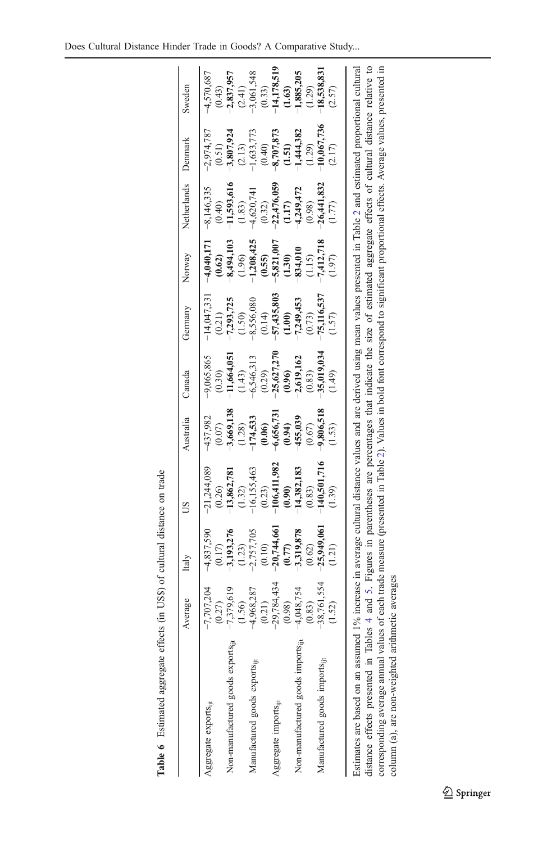<span id="page-19-0"></span>

|                                                                                                                  | Average                        | Italy                                                                             | SO                                                                                                                                                                                                                                                                                                                                                                                                                                     | Australia                                                                                                              | Canada                                                                                                                                                     | Germany                                                                                                                      | Norway                                                                                  | Netherlands Denmark                                                                                                                                                         |                                                                                                                    | Sweden                                                                                                    |
|------------------------------------------------------------------------------------------------------------------|--------------------------------|-----------------------------------------------------------------------------------|----------------------------------------------------------------------------------------------------------------------------------------------------------------------------------------------------------------------------------------------------------------------------------------------------------------------------------------------------------------------------------------------------------------------------------------|------------------------------------------------------------------------------------------------------------------------|------------------------------------------------------------------------------------------------------------------------------------------------------------|------------------------------------------------------------------------------------------------------------------------------|-----------------------------------------------------------------------------------------|-----------------------------------------------------------------------------------------------------------------------------------------------------------------------------|--------------------------------------------------------------------------------------------------------------------|-----------------------------------------------------------------------------------------------------------|
| Aggregate exports <sub>iit</sub>                                                                                 | 7,707,204<br>(0.27)            | $-4,837,590$<br>(0.17)                                                            | $-21,244,089$                                                                                                                                                                                                                                                                                                                                                                                                                          |                                                                                                                        |                                                                                                                                                            |                                                                                                                              | $-4,040,171$                                                                            | $-8,146,335$                                                                                                                                                                | $-2,974,787$                                                                                                       | $-4,570,687$<br>(0.43)                                                                                    |
| Non-manufactured goods exportsiit                                                                                | 7,379,619<br>(1.56)            | 3,193,276                                                                         | $(0.26)$<br>$-13,862,781$<br>$-16,155,463$<br>$-16,155,463$<br>$(0.23)$<br>$-106,411,982$<br>$-14,382,183$                                                                                                                                                                                                                                                                                                                             | $747,982$<br>$(0.07)$<br>$(0.07)$<br>$(1.28)$<br>$(1.28)$<br>$(1.28)$<br>$(1.333)$<br>$(0.06)$<br>$(0.94)$<br>$(0.94)$ | $-9,065,865$<br>$-0.50$<br>$-11,664,051$<br>$-11,64,313$<br>$-6,546,313$<br>$-25,627,270$<br>$-26,19,162$<br>$-3,619,162$<br>$-3,619,162$<br>$-35,019,034$ | $-14,047,331$<br>$-14,047,33$<br>$-7,293,725$<br>$-7,293,725$<br>$-15,60,080$<br>$+6,60,600$<br>$+6,435,803$<br>$-7,249,453$ | $(0.62)$<br>-8,494,103<br>(1.96)                                                        | $\begin{array}{l} (0.40) \\ -11,593,616 \\ -1,533 \\ (1.83) \\ -4,620,741 \\ \hline 2,476,059 \\ -2,149,472 \\ \hline 1,249,472 \\ \hline 0.98) \\ -26,441,832 \end{array}$ | $(0.51)$<br>$-3,807,924$<br>$(-2.13)$<br>$(-1,633,773)$<br>$(0.40)$<br>$-8,707,873$<br>$(-1,51)$<br>$(-1,444,382)$ |                                                                                                           |
| Manufactured goods exports <sub>iit</sub>                                                                        | 4,968,287<br>(0.21)            | $(1.23)$<br>$-2,757,705$<br>$(0.10)$<br>$-20,744,661$<br>$(0.77)$<br>$-3,319,878$ |                                                                                                                                                                                                                                                                                                                                                                                                                                        |                                                                                                                        |                                                                                                                                                            |                                                                                                                              |                                                                                         |                                                                                                                                                                             |                                                                                                                    | $-2,837,957$<br>$(2,41)$<br>$(3,61)$ ,548<br>$(0,33)$<br>$(1,63)$<br>$(1,63)$<br>$(1,63)$<br>$-1,885,205$ |
| Aggregate imports <sub>iit</sub>                                                                                 | 29,784,434                     |                                                                                   |                                                                                                                                                                                                                                                                                                                                                                                                                                        |                                                                                                                        |                                                                                                                                                            |                                                                                                                              | $\begin{array}{r} -1,208,425 \\ (0.55) \\ -5,821,007 \\ (1.30) \\ -834,010 \end{array}$ |                                                                                                                                                                             |                                                                                                                    |                                                                                                           |
| Non-manufactured goods imports <sub>iit</sub>                                                                    | 4,048,754<br>(0.98)            |                                                                                   |                                                                                                                                                                                                                                                                                                                                                                                                                                        |                                                                                                                        |                                                                                                                                                            |                                                                                                                              |                                                                                         |                                                                                                                                                                             |                                                                                                                    |                                                                                                           |
| Manufactured goods imports <sub>iit</sub>                                                                        | 38,761,554<br>(1.52)<br>(0.83) | 25,949,061<br>(0.62)<br>(1.21)                                                    | $(0.83)$<br>-140,501,716<br>(1.39)                                                                                                                                                                                                                                                                                                                                                                                                     | $(0.67)$<br>-9,806,518<br>(1.53)                                                                                       | (1.49)                                                                                                                                                     | $(0.73)$<br>$-75,116,537$<br>(1.57)                                                                                          | $(1.15)$<br>$-7,412,718$<br>(1.97)                                                      | (1.77)                                                                                                                                                                      | $(1.29)$<br>-10,067,736<br>(2.17)                                                                                  | $-18,538,831$<br>(1.29)<br>(2.57)                                                                         |
| distance effects presented in Tables<br>corresponding average annual values<br>Estimates are based on an assumed |                                |                                                                                   | 4 and 5. Figures in parentheses are percentages that indicate the size of estimated aggregate effects of cultural distance relative to<br>of each trade measure (presented in Table 2). Values in bold font correspond to significant proportional effects. Average values, presented in<br>1% increase in average cultural distance values and are derived using mean values presented in Table 2 and estimated proportional cultural |                                                                                                                        |                                                                                                                                                            |                                                                                                                              |                                                                                         |                                                                                                                                                                             |                                                                                                                    |                                                                                                           |

column (a), are non-weighted arithmetic averages

column (a), are non-weighted arithmetic averages

| $\sim$ to $+$ to $\sim$                                                                    |
|--------------------------------------------------------------------------------------------|
|                                                                                            |
| i<br>Ş<br>l                                                                                |
|                                                                                            |
|                                                                                            |
| ļ<br>$\overline{a}$                                                                        |
| :<br>l                                                                                     |
| ֦֧ׅ֧ׅ֦֧ׅ֦֧ׅ֧ׅ֧ׅ֧ׅ֧ׅ֧֧ׅ֧ׅ֧ׅ֧ׅ֧ׅ֧֧֚֚֚֚֚֚֚֚֚֚֚֚֚֚֚֚֚֬֕֓֡֜֓֜֓֡֜֓֡֜֓֜֓֜֓֜֓֜֓֞֜֓֜֜֜֜֝֬<br>l<br>i |
| í                                                                                          |
| ì                                                                                          |
| ı<br>י<br> }                                                                               |
|                                                                                            |

trade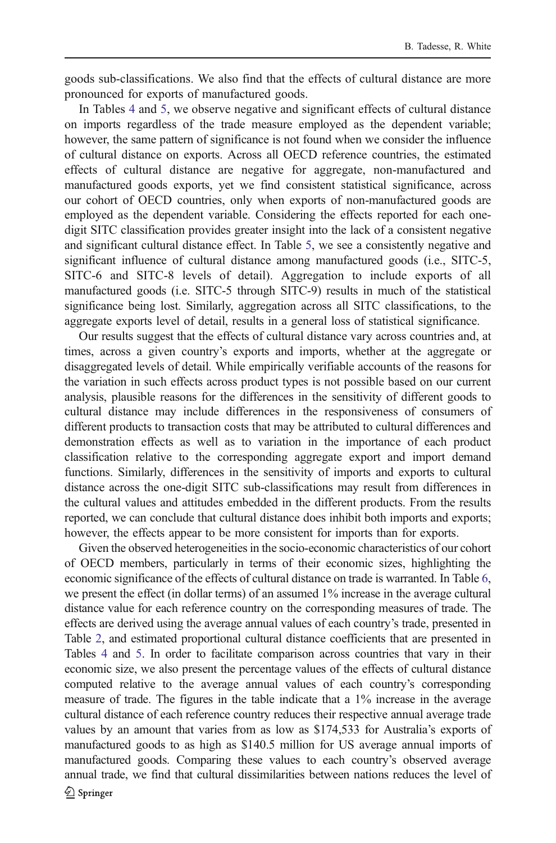goods sub-classifications. We also find that the effects of cultural distance are more pronounced for exports of manufactured goods.

In Tables [4](#page-17-0) and [5,](#page-18-0) we observe negative and significant effects of cultural distance on imports regardless of the trade measure employed as the dependent variable; however, the same pattern of significance is not found when we consider the influence of cultural distance on exports. Across all OECD reference countries, the estimated effects of cultural distance are negative for aggregate, non-manufactured and manufactured goods exports, yet we find consistent statistical significance, across our cohort of OECD countries, only when exports of non-manufactured goods are employed as the dependent variable. Considering the effects reported for each onedigit SITC classification provides greater insight into the lack of a consistent negative and significant cultural distance effect. In Table [5](#page-18-0), we see a consistently negative and significant influence of cultural distance among manufactured goods (i.e., SITC-5, SITC-6 and SITC-8 levels of detail). Aggregation to include exports of all manufactured goods (i.e. SITC-5 through SITC-9) results in much of the statistical significance being lost. Similarly, aggregation across all SITC classifications, to the aggregate exports level of detail, results in a general loss of statistical significance.

Our results suggest that the effects of cultural distance vary across countries and, at times, across a given country's exports and imports, whether at the aggregate or disaggregated levels of detail. While empirically verifiable accounts of the reasons for the variation in such effects across product types is not possible based on our current analysis, plausible reasons for the differences in the sensitivity of different goods to cultural distance may include differences in the responsiveness of consumers of different products to transaction costs that may be attributed to cultural differences and demonstration effects as well as to variation in the importance of each product classification relative to the corresponding aggregate export and import demand functions. Similarly, differences in the sensitivity of imports and exports to cultural distance across the one-digit SITC sub-classifications may result from differences in the cultural values and attitudes embedded in the different products. From the results reported, we can conclude that cultural distance does inhibit both imports and exports; however, the effects appear to be more consistent for imports than for exports.

Given the observed heterogeneities in the socio-economic characteristics of our cohort of OECD members, particularly in terms of their economic sizes, highlighting the economic significance of the effects of cultural distance on trade is warranted. In Table [6,](#page-19-0) we present the effect (in dollar terms) of an assumed 1% increase in the average cultural distance value for each reference country on the corresponding measures of trade. The effects are derived using the average annual values of each country's trade, presented in Table [2](#page-11-0), and estimated proportional cultural distance coefficients that are presented in Tables [4](#page-17-0) and [5](#page-18-0). In order to facilitate comparison across countries that vary in their economic size, we also present the percentage values of the effects of cultural distance computed relative to the average annual values of each country's corresponding measure of trade. The figures in the table indicate that a 1% increase in the average cultural distance of each reference country reduces their respective annual average trade values by an amount that varies from as low as \$174,533 for Australia's exports of manufactured goods to as high as \$140.5 million for US average annual imports of manufactured goods. Comparing these values to each country's observed average annual trade, we find that cultural dissimilarities between nations reduces the level of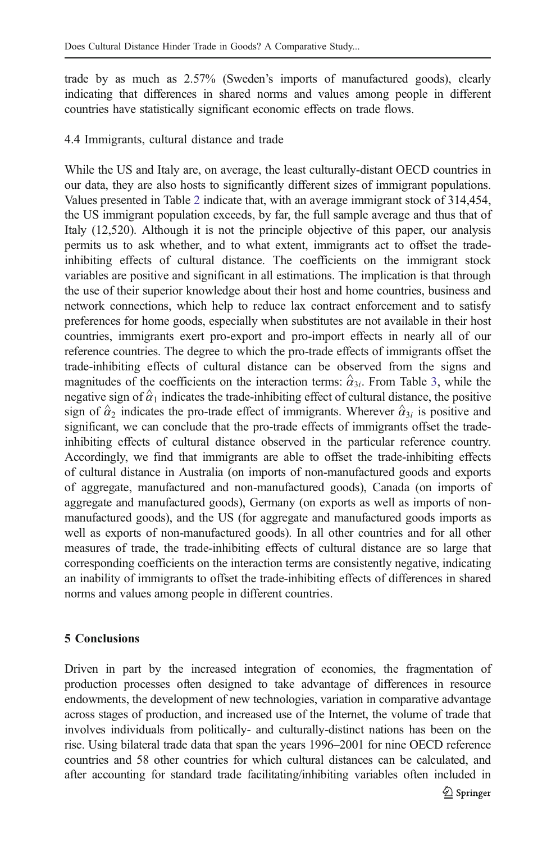<span id="page-21-0"></span>trade by as much as 2.57% (Sweden's imports of manufactured goods), clearly indicating that differences in shared norms and values among people in different countries have statistically significant economic effects on trade flows.

#### 4.4 Immigrants, cultural distance and trade

While the US and Italy are, on average, the least culturally-distant OECD countries in our data, they are also hosts to significantly different sizes of immigrant populations. Values presented in Table [2](#page-11-0) indicate that, with an average immigrant stock of 314,454, the US immigrant population exceeds, by far, the full sample average and thus that of Italy (12,520). Although it is not the principle objective of this paper, our analysis permits us to ask whether, and to what extent, immigrants act to offset the tradeinhibiting effects of cultural distance. The coefficients on the immigrant stock variables are positive and significant in all estimations. The implication is that through the use of their superior knowledge about their host and home countries, business and network connections, which help to reduce lax contract enforcement and to satisfy preferences for home goods, especially when substitutes are not available in their host countries, immigrants exert pro-export and pro-import effects in nearly all of our reference countries. The degree to which the pro-trade effects of immigrants offset the trade-inhibiting effects of cultural distance can be observed from the signs and magnitudes of the coefficients on the interaction terms:  $\hat{\alpha}_{3i}$ . From Table [3,](#page-14-0) while the negative sign of  $\hat{\alpha}_1$  indicates the trade-inhibiting effect of cultural distance, the positive sign of  $\hat{\alpha}_2$  indicates the pro-trade effect of immigrants. Wherever  $\hat{\alpha}_{3i}$  is positive and significant, we can conclude that the pro-trade effects of immigrants offset the tradeinhibiting effects of cultural distance observed in the particular reference country. Accordingly, we find that immigrants are able to offset the trade-inhibiting effects of cultural distance in Australia (on imports of non-manufactured goods and exports of aggregate, manufactured and non-manufactured goods), Canada (on imports of aggregate and manufactured goods), Germany (on exports as well as imports of nonmanufactured goods), and the US (for aggregate and manufactured goods imports as well as exports of non-manufactured goods). In all other countries and for all other measures of trade, the trade-inhibiting effects of cultural distance are so large that corresponding coefficients on the interaction terms are consistently negative, indicating an inability of immigrants to offset the trade-inhibiting effects of differences in shared norms and values among people in different countries.

#### 5 Conclusions

Driven in part by the increased integration of economies, the fragmentation of production processes often designed to take advantage of differences in resource endowments, the development of new technologies, variation in comparative advantage across stages of production, and increased use of the Internet, the volume of trade that involves individuals from politically- and culturally-distinct nations has been on the rise. Using bilateral trade data that span the years 1996–2001 for nine OECD reference countries and 58 other countries for which cultural distances can be calculated, and after accounting for standard trade facilitating/inhibiting variables often included in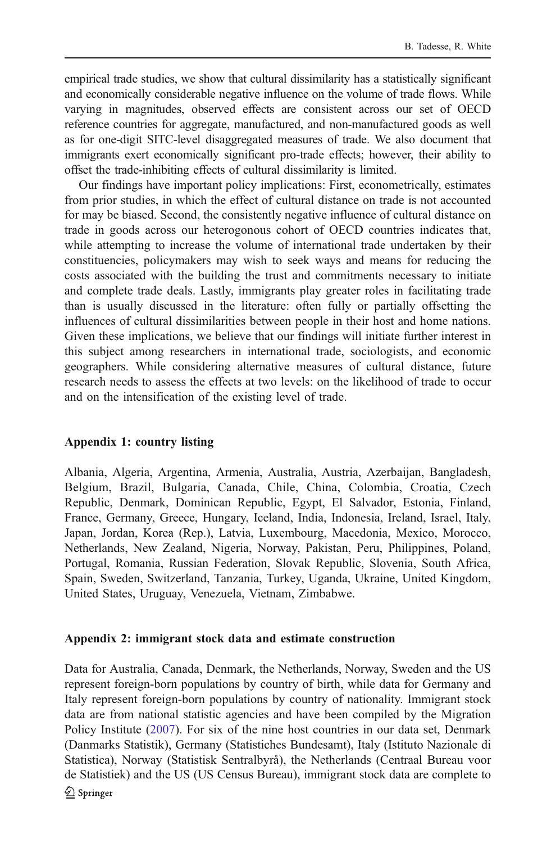<span id="page-22-0"></span>empirical trade studies, we show that cultural dissimilarity has a statistically significant and economically considerable negative influence on the volume of trade flows. While varying in magnitudes, observed effects are consistent across our set of OECD reference countries for aggregate, manufactured, and non-manufactured goods as well as for one-digit SITC-level disaggregated measures of trade. We also document that immigrants exert economically significant pro-trade effects; however, their ability to offset the trade-inhibiting effects of cultural dissimilarity is limited.

Our findings have important policy implications: First, econometrically, estimates from prior studies, in which the effect of cultural distance on trade is not accounted for may be biased. Second, the consistently negative influence of cultural distance on trade in goods across our heterogonous cohort of OECD countries indicates that, while attempting to increase the volume of international trade undertaken by their constituencies, policymakers may wish to seek ways and means for reducing the costs associated with the building the trust and commitments necessary to initiate and complete trade deals. Lastly, immigrants play greater roles in facilitating trade than is usually discussed in the literature: often fully or partially offsetting the influences of cultural dissimilarities between people in their host and home nations. Given these implications, we believe that our findings will initiate further interest in this subject among researchers in international trade, sociologists, and economic geographers. While considering alternative measures of cultural distance, future research needs to assess the effects at two levels: on the likelihood of trade to occur and on the intensification of the existing level of trade.

# Appendix 1: country listing

Albania, Algeria, Argentina, Armenia, Australia, Austria, Azerbaijan, Bangladesh, Belgium, Brazil, Bulgaria, Canada, Chile, China, Colombia, Croatia, Czech Republic, Denmark, Dominican Republic, Egypt, El Salvador, Estonia, Finland, France, Germany, Greece, Hungary, Iceland, India, Indonesia, Ireland, Israel, Italy, Japan, Jordan, Korea (Rep.), Latvia, Luxembourg, Macedonia, Mexico, Morocco, Netherlands, New Zealand, Nigeria, Norway, Pakistan, Peru, Philippines, Poland, Portugal, Romania, Russian Federation, Slovak Republic, Slovenia, South Africa, Spain, Sweden, Switzerland, Tanzania, Turkey, Uganda, Ukraine, United Kingdom, United States, Uruguay, Venezuela, Vietnam, Zimbabwe.

#### Appendix 2: immigrant stock data and estimate construction

Data for Australia, Canada, Denmark, the Netherlands, Norway, Sweden and the US represent foreign-born populations by country of birth, while data for Germany and Italy represent foreign-born populations by country of nationality. Immigrant stock data are from national statistic agencies and have been compiled by the Migration Policy Institute ([2007\)](#page-24-0). For six of the nine host countries in our data set, Denmark (Danmarks Statistik), Germany (Statistiches Bundesamt), Italy (Istituto Nazionale di Statistica), Norway (Statistisk Sentralbyrå), the Netherlands (Centraal Bureau voor de Statistiek) and the US (US Census Bureau), immigrant stock data are complete to 2 Springer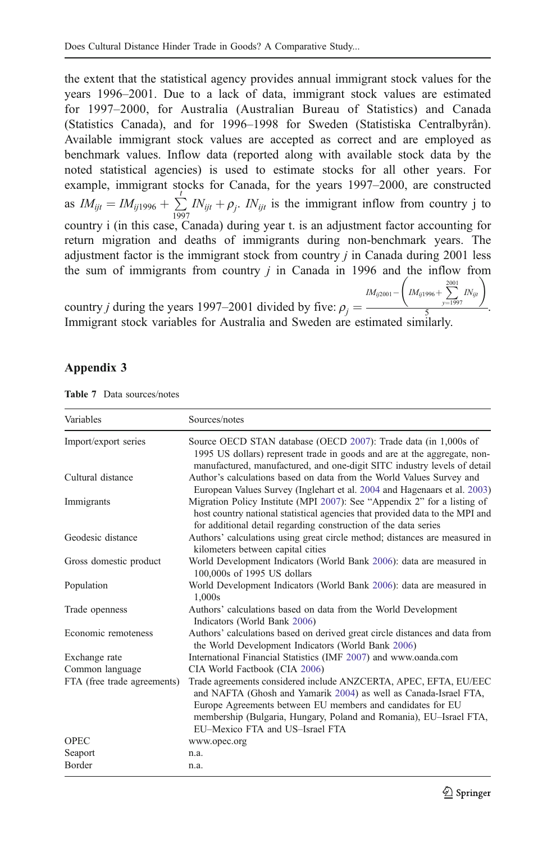<span id="page-23-0"></span>the extent that the statistical agency provides annual immigrant stock values for the years 1996–2001. Due to a lack of data, immigrant stock values are estimated for 1997–2000, for Australia (Australian Bureau of Statistics) and Canada (Statistics Canada), and for 1996–1998 for Sweden (Statistiska Centralbyrån). Available immigrant stock values are accepted as correct and are employed as benchmark values. Inflow data (reported along with available stock data by the noted statistical agencies) is used to estimate stocks for all other years. For example, immigrant stocks for Canada, for the years 1997–2000, are constructed as  $IM_{ijt} = IM_{ij1996} + \sum_{1997}^{t} IN_{ijt} + \rho_j$ .  $IN_{ijt}$  is the immigrant inflow from country j to country i (in this case, Canada) during year t. is an adjustment factor accounting for return migration and deaths of immigrants during non-benchmark years. The adjustment factor is the immigrant stock from country  $j$  in Canada during 2001 less the sum of immigrants from country  $i$  in Canada in 1996 and the inflow from  $IM_{ij2001} - \left( IM_{ij1996} + \sum_{y=1997}^{2001} \right)$  $\left( \frac{1}{1 \cdot M_{ij} 1996 + \sum_{i=1}^{2001} N_{ijt}} \right)$ 

country *j* during the years 1997–2001 divided by five:  $\rho_j =$ Immigrant stock variables for Australia and Sweden are ex- $\frac{y=1997}{5}$ . Immigrant stock variables for Australia and Sweden are estimated similarly.

# Appendix 3

|  | Table 7 Data sources/notes |  |
|--|----------------------------|--|
|  |                            |  |

| Variables                   | Sources/notes                                                                                                                                                                                                                                                                                               |
|-----------------------------|-------------------------------------------------------------------------------------------------------------------------------------------------------------------------------------------------------------------------------------------------------------------------------------------------------------|
| Import/export series        | Source OECD STAN database (OECD 2007): Trade data (in 1,000s of<br>1995 US dollars) represent trade in goods and are at the aggregate, non-<br>manufactured, manufactured, and one-digit SITC industry levels of detail                                                                                     |
| Cultural distance           | Author's calculations based on data from the World Values Survey and<br>European Values Survey (Inglehart et al. 2004 and Hagenaars et al. 2003)                                                                                                                                                            |
| Immigrants                  | Migration Policy Institute (MPI 2007): See "Appendix 2" for a listing of<br>host country national statistical agencies that provided data to the MPI and<br>for additional detail regarding construction of the data series                                                                                 |
| Geodesic distance           | Authors' calculations using great circle method; distances are measured in<br>kilometers between capital cities                                                                                                                                                                                             |
| Gross domestic product      | World Development Indicators (World Bank 2006): data are measured in<br>100,000s of 1995 US dollars                                                                                                                                                                                                         |
| Population                  | World Development Indicators (World Bank 2006): data are measured in<br>1,000s                                                                                                                                                                                                                              |
| Trade openness              | Authors' calculations based on data from the World Development<br>Indicators (World Bank 2006)                                                                                                                                                                                                              |
| Economic remoteness         | Authors' calculations based on derived great circle distances and data from<br>the World Development Indicators (World Bank 2006)                                                                                                                                                                           |
| Exchange rate               | International Financial Statistics (IMF 2007) and www.oanda.com                                                                                                                                                                                                                                             |
| Common language             | CIA World Factbook (CIA 2006)                                                                                                                                                                                                                                                                               |
| FTA (free trade agreements) | Trade agreements considered include ANZCERTA, APEC, EFTA, EU/EEC<br>and NAFTA (Ghosh and Yamarik 2004) as well as Canada-Israel FTA,<br>Europe Agreements between EU members and candidates for EU<br>membership (Bulgaria, Hungary, Poland and Romania), EU-Israel FTA,<br>EU-Mexico FTA and US-Israel FTA |
| OPEC                        | www.opec.org                                                                                                                                                                                                                                                                                                |
| Seaport                     | n.a.                                                                                                                                                                                                                                                                                                        |
| Border                      | n.a.                                                                                                                                                                                                                                                                                                        |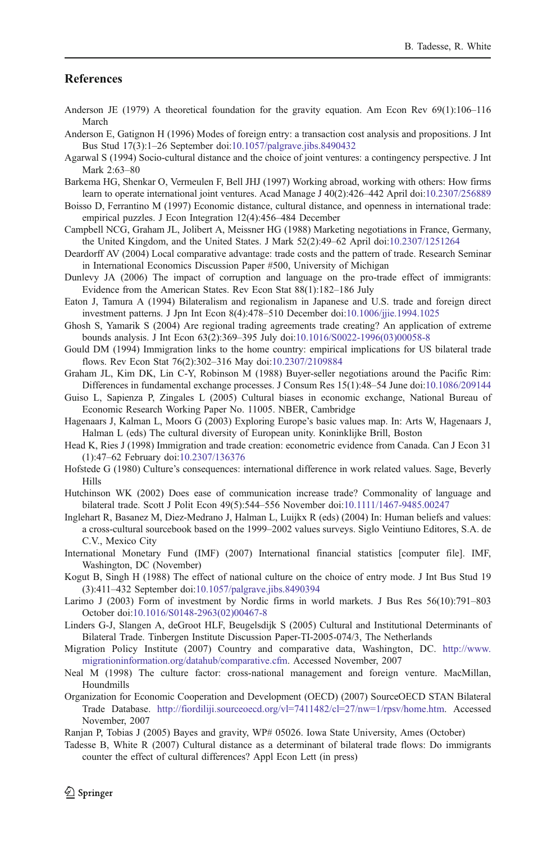#### <span id="page-24-0"></span>References

- Anderson JE (1979) A theoretical foundation for the gravity equation. Am Econ Rev 69(1):106–116 March
- Anderson E, Gatignon H (1996) Modes of foreign entry: a transaction cost analysis and propositions. J Int Bus Stud 17(3):1–26 September doi[:10.1057/palgrave.jibs.8490432](http://dx.doi.org/10.1057/palgrave.jibs.8490432)
- Agarwal S (1994) Socio-cultural distance and the choice of joint ventures: a contingency perspective. J Int Mark 2:63–80
- Barkema HG, Shenkar O, Vermeulen F, Bell JHJ (1997) Working abroad, working with others: How firms learn to operate international joint ventures. Acad Manage J 40(2):426–442 April doi:[10.2307/256889](http://dx.doi.org/10.2307/256889)
- Boisso D, Ferrantino M (1997) Economic distance, cultural distance, and openness in international trade: empirical puzzles. J Econ Integration 12(4):456–484 December
- Campbell NCG, Graham JL, Jolibert A, Meissner HG (1988) Marketing negotiations in France, Germany, the United Kingdom, and the United States. J Mark 52(2):49–62 April doi:[10.2307/1251264](http://dx.doi.org/10.2307/1251264)
- Deardorff AV (2004) Local comparative advantage: trade costs and the pattern of trade. Research Seminar in International Economics Discussion Paper #500, University of Michigan
- Dunlevy JA (2006) The impact of corruption and language on the pro-trade effect of immigrants: Evidence from the American States. Rev Econ Stat 88(1):182–186 July
- Eaton J, Tamura A (1994) Bilateralism and regionalism in Japanese and U.S. trade and foreign direct investment patterns. J Jpn Int Econ 8(4):478–510 December doi:[10.1006/jjie.1994.1025](http://dx.doi.org/10.1006/jjie.1994.1025)
- Ghosh S, Yamarik S (2004) Are regional trading agreements trade creating? An application of extreme bounds analysis. J Int Econ 63(2):369–395 July doi[:10.1016/S0022-1996\(03\)00058-8](http://dx.doi.org/10.1016/S0022-1996(03)00058-8)
- Gould DM (1994) Immigration links to the home country: empirical implications for US bilateral trade flows. Rev Econ Stat 76(2):302–316 May doi[:10.2307/2109884](http://dx.doi.org/10.2307/2109884)
- Graham JL, Kim DK, Lin C-Y, Robinson M (1988) Buyer-seller negotiations around the Pacific Rim: Differences in fundamental exchange processes. J Consum Res 15(1):48–54 June doi:[10.1086/209144](http://dx.doi.org/10.1086/209144)
- Guiso L, Sapienza P, Zingales L (2005) Cultural biases in economic exchange, National Bureau of Economic Research Working Paper No. 11005. NBER, Cambridge
- Hagenaars J, Kalman L, Moors G (2003) Exploring Europe's basic values map. In: Arts W, Hagenaars J, Halman L (eds) The cultural diversity of European unity. Koninklijke Brill, Boston
- Head K, Ries J (1998) Immigration and trade creation: econometric evidence from Canada. Can J Econ 31 (1):47–62 February doi[:10.2307/136376](http://dx.doi.org/10.2307/136376)
- Hofstede G (1980) Culture's consequences: international difference in work related values. Sage, Beverly Hills
- Hutchinson WK (2002) Does ease of communication increase trade? Commonality of language and bilateral trade. Scott J Polit Econ 49(5):544–556 November doi[:10.1111/1467-9485.00247](http://dx.doi.org/10.1111/1467-9485.00247)
- Inglehart R, Basanez M, Diez-Medrano J, Halman L, Luijkx R (eds) (2004) In: Human beliefs and values: a cross-cultural sourcebook based on the 1999–2002 values surveys. Siglo Veintiuno Editores, S.A. de C.V., Mexico City
- International Monetary Fund (IMF) (2007) International financial statistics [computer file]. IMF, Washington, DC (November)
- Kogut B, Singh H (1988) The effect of national culture on the choice of entry mode. J Int Bus Stud 19 (3):411–432 September doi:[10.1057/palgrave.jibs.8490394](http://dx.doi.org/10.1057/palgrave.jibs.8490394)
- Larimo J (2003) Form of investment by Nordic firms in world markets. J Bus Res 56(10):791–803 October doi[:10.1016/S0148-2963\(02\)00467-8](http://dx.doi.org/10.1016/S0148-2963(02)00467-8)
- Linders G-J, Slangen A, deGroot HLF, Beugelsdijk S (2005) Cultural and Institutional Determinants of Bilateral Trade. Tinbergen Institute Discussion Paper-TI-2005-074/3, The Netherlands
- Migration Policy Institute (2007) Country and comparative data, Washington, DC. [http://www.](http://www.migrationinformation.org/datahub/comparative.cfm) [migrationinformation.org/datahub/comparative.cfm](http://www.migrationinformation.org/datahub/comparative.cfm). Accessed November, 2007
- Neal M (1998) The culture factor: cross-national management and foreign venture. MacMillan, Houndmills
- Organization for Economic Cooperation and Development (OECD) (2007) SourceOECD STAN Bilateral Trade Database. <http://fiordiliji.sourceoecd.org/vl=7411482/cl=27/nw=1/rpsv/home.htm>. Accessed November, 2007
- Ranjan P, Tobias J (2005) Bayes and gravity, WP# 05026. Iowa State University, Ames (October)
- Tadesse B, White R (2007) Cultural distance as a determinant of bilateral trade flows: Do immigrants counter the effect of cultural differences? Appl Econ Lett (in press)